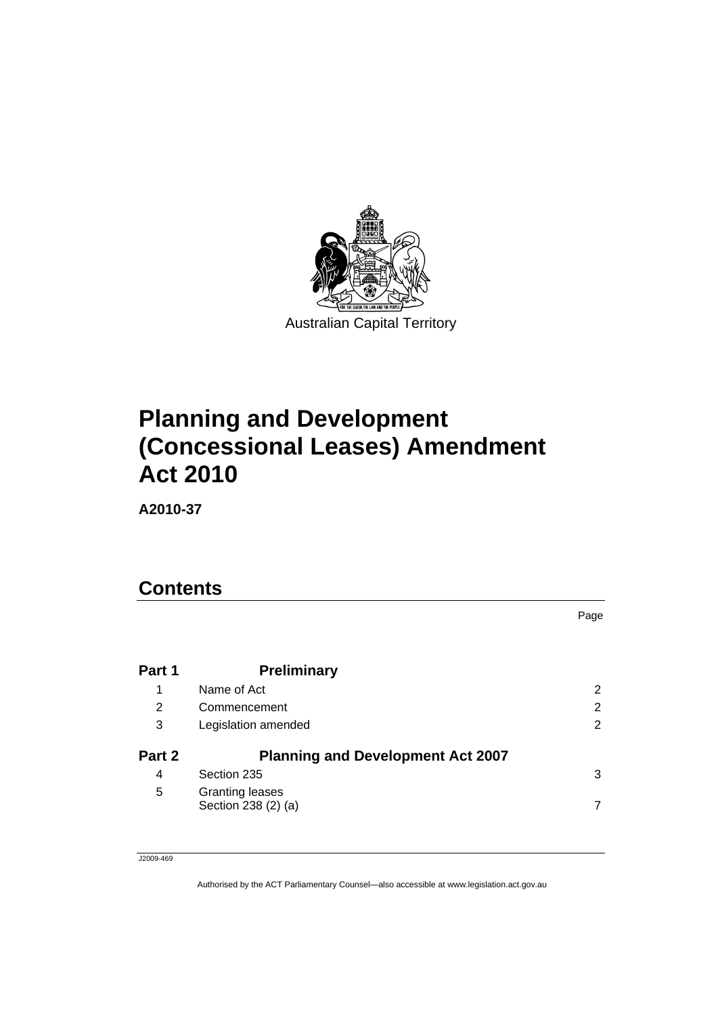

# **[Planning and Development](#page-4-0)  [\(Concessional Leases\) Amendment](#page-4-0)  [Act 2010](#page-4-0)**

**A2010-37** 

# **Contents**

|        |                                               | Page |
|--------|-----------------------------------------------|------|
| Part 1 | <b>Preliminary</b>                            |      |
| 1      | Name of Act                                   | 2    |
| 2      | Commencement                                  | 2    |
| 3      | Legislation amended                           | 2    |
| Part 2 | <b>Planning and Development Act 2007</b>      |      |
| 4      | Section 235                                   | 3    |
| 5      | <b>Granting leases</b><br>Section 238 (2) (a) |      |

J2009-469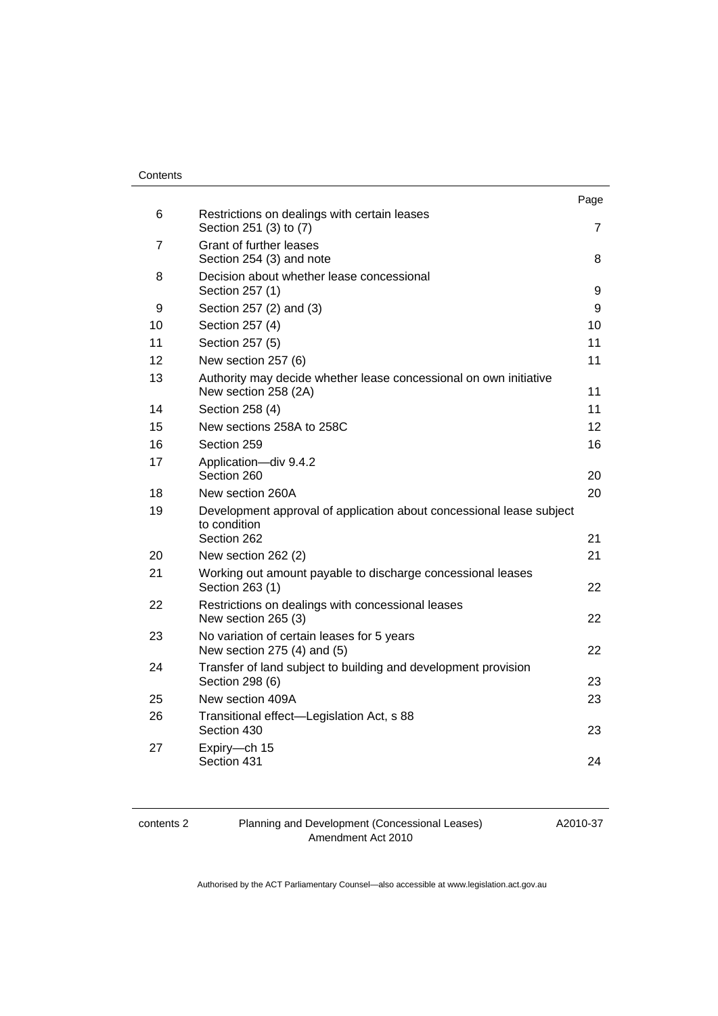#### **Contents**

|    |                                                                                                     | Page |
|----|-----------------------------------------------------------------------------------------------------|------|
| 6  | Restrictions on dealings with certain leases<br>Section 251 (3) to (7)                              | 7    |
| 7  | Grant of further leases<br>Section 254 (3) and note                                                 | 8    |
| 8  | Decision about whether lease concessional<br>Section 257 (1)                                        | 9    |
| 9  | Section 257 (2) and (3)                                                                             | 9    |
| 10 | Section 257 (4)                                                                                     | 10   |
| 11 | Section 257 (5)                                                                                     | 11   |
| 12 | New section 257 (6)                                                                                 | 11   |
| 13 | Authority may decide whether lease concessional on own initiative<br>New section 258 (2A)           | 11   |
| 14 | Section 258 (4)                                                                                     | 11   |
| 15 | New sections 258A to 258C                                                                           | 12   |
| 16 | Section 259                                                                                         | 16   |
| 17 | Application-div 9.4.2<br>Section 260                                                                | 20   |
| 18 | New section 260A                                                                                    | 20   |
| 19 | Development approval of application about concessional lease subject<br>to condition<br>Section 262 | 21   |
| 20 | New section 262 (2)                                                                                 | 21   |
| 21 | Working out amount payable to discharge concessional leases<br>Section 263 (1)                      | 22   |
| 22 | Restrictions on dealings with concessional leases<br>New section 265 (3)                            | 22   |
| 23 | No variation of certain leases for 5 years<br>New section 275 (4) and (5)                           | 22   |
| 24 | Transfer of land subject to building and development provision<br>Section 298 (6)                   | 23   |
| 25 | New section 409A                                                                                    | 23   |
| 26 | Transitional effect-Legislation Act, s 88<br>Section 430                                            | 23   |
| 27 | Expiry-ch 15<br>Section 431                                                                         | 24   |

contents 2 Planning and Development (Concessional Leases) Amendment Act 2010

A2010-37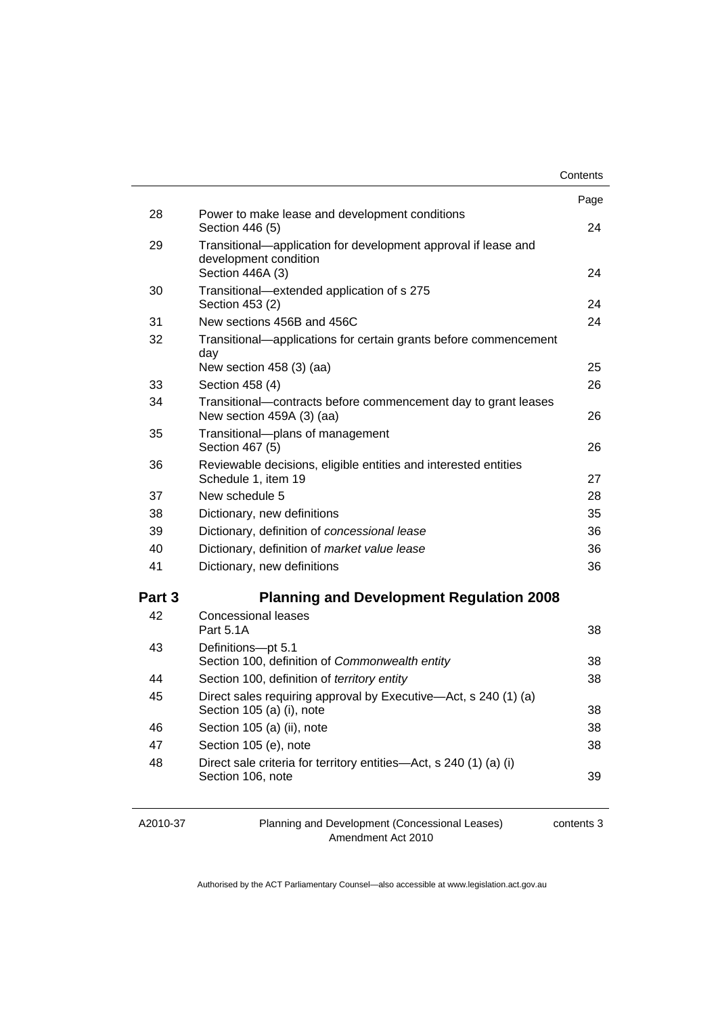|        |                                                                                              | Contents |
|--------|----------------------------------------------------------------------------------------------|----------|
|        |                                                                                              | Page     |
| 28     | Power to make lease and development conditions                                               |          |
|        | Section 446 (5)                                                                              | 24       |
| 29     | Transitional—application for development approval if lease and                               |          |
|        | development condition<br>Section 446A (3)                                                    | 24       |
| 30     | Transitional-extended application of s 275                                                   |          |
|        | Section 453 (2)                                                                              | 24       |
| 31     | New sections 456B and 456C                                                                   | 24       |
| 32     | Transitional—applications for certain grants before commencement<br>day                      |          |
|        | New section $458(3)(aa)$                                                                     | 25       |
| 33     | Section 458 (4)                                                                              | 26       |
| 34     | Transitional-contracts before commencement day to grant leases<br>New section 459A (3) (aa)  | 26       |
| 35     | Transitional--plans of management<br>Section 467 (5)                                         | 26       |
| 36     | Reviewable decisions, eligible entities and interested entities<br>Schedule 1, item 19       | 27       |
| 37     | New schedule 5                                                                               | 28       |
| 38     | Dictionary, new definitions                                                                  | 35       |
| 39     | Dictionary, definition of concessional lease                                                 |          |
| 40     | Dictionary, definition of market value lease                                                 |          |
| 41     | Dictionary, new definitions                                                                  |          |
| Part 3 | <b>Planning and Development Regulation 2008</b>                                              |          |
| 42     | <b>Concessional leases</b>                                                                   |          |
|        | Part 5.1A                                                                                    | 38       |
| 43     | Definitions-pt 5.1                                                                           |          |
|        | Section 100, definition of Commonwealth entity                                               | 38       |
| 44     | Section 100, definition of territory entity                                                  | 38       |
| 45     | Direct sales requiring approval by Executive—Act, s 240 (1) (a)<br>Section 105 (a) (i), note | 38       |
| 46     | Section 105 (a) (ii), note                                                                   | 38       |
| 47     | Section 105 (e), note                                                                        | 38       |
| 48     | Direct sale criteria for territory entities—Act, s 240 (1) (a) (i)                           |          |
|        | Section 106, note                                                                            | 39       |
|        |                                                                                              |          |

A2010-37

Planning and Development (Concessional Leases) Amendment Act 2010

contents 3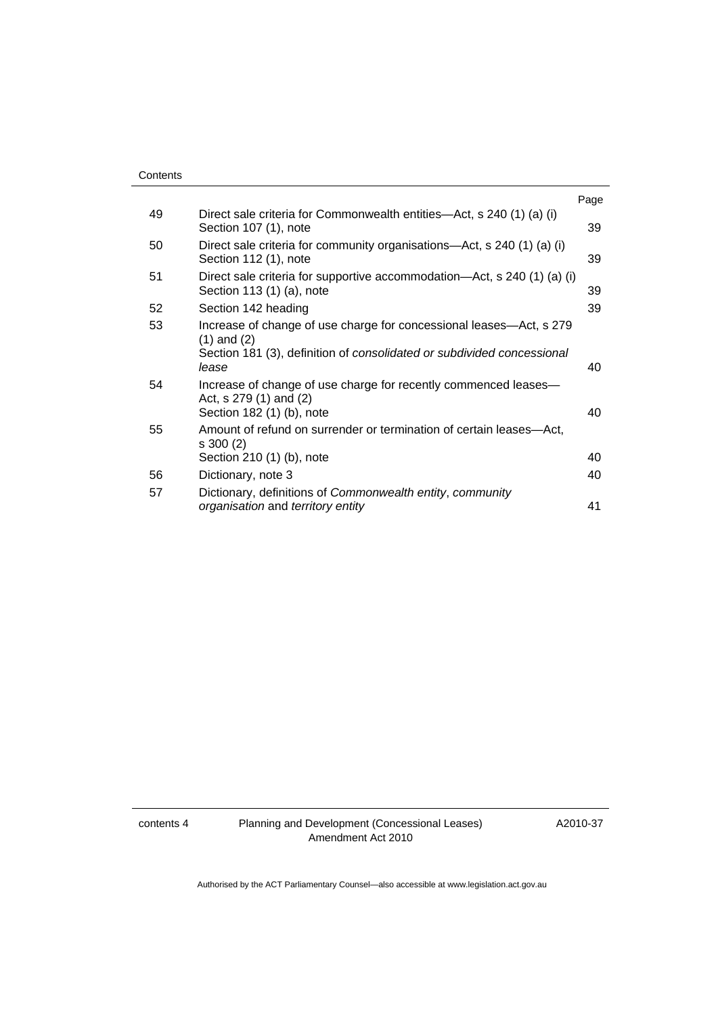|    |                                                                                                                                                                           | Page |
|----|---------------------------------------------------------------------------------------------------------------------------------------------------------------------------|------|
| 49 | Direct sale criteria for Commonwealth entities—Act, s 240 (1) (a) (i)<br>Section 107 (1), note                                                                            | 39   |
| 50 | Direct sale criteria for community organisations—Act, s 240 (1) (a) (i)<br>Section 112 (1), note                                                                          | 39   |
| 51 | Direct sale criteria for supportive accommodation—Act, s 240 (1) (a) (i)<br>Section 113 (1) (a), note                                                                     | 39   |
| 52 | Section 142 heading                                                                                                                                                       | 39   |
| 53 | Increase of change of use charge for concessional leases-Act, s 279<br>$(1)$ and $(2)$<br>Section 181 (3), definition of consolidated or subdivided concessional<br>lease | 40   |
| 54 | Increase of change of use charge for recently commenced leases—<br>Act, s 279 (1) and (2)<br>Section 182 (1) (b), note                                                    | 40   |
| 55 | Amount of refund on surrender or termination of certain leases-Act,<br>s 300 (2)<br>Section 210 (1) (b), note                                                             | 40   |
| 56 | Dictionary, note 3                                                                                                                                                        | 40   |
| 57 | Dictionary, definitions of Commonwealth entity, community<br>organisation and territory entity                                                                            | 41   |

A2010-37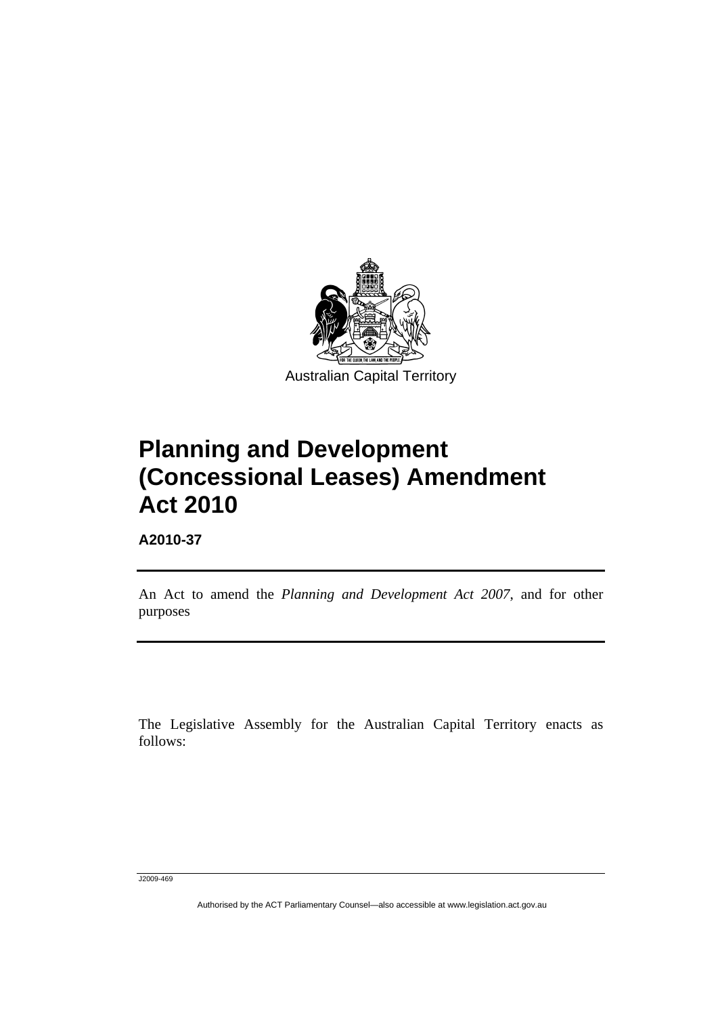<span id="page-4-0"></span>

# **Planning and Development (Concessional Leases) Amendment Act 2010**

**A2010-37** 

l

An Act to amend the *Planning and Development Act 2007*, and for other purposes

The Legislative Assembly for the Australian Capital Territory enacts as follows:

J2009-469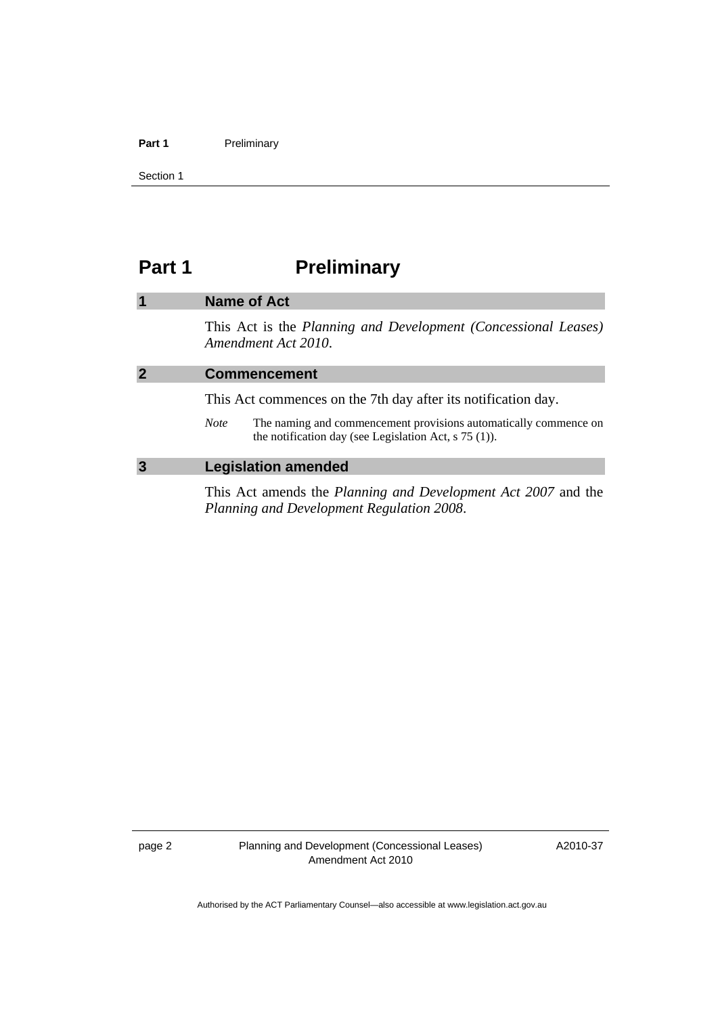#### <span id="page-5-0"></span>Part 1 **Preliminary**

Section 1

# **Part 1** Preliminary

# **1 Name of Act**  This Act is the *Planning and Development (Concessional Leases) Amendment Act 2010*. **2 Commencement**  This Act commences on the 7th day after its notification day. *Note* The naming and commencement provisions automatically commence on the notification day (see Legislation Act, s 75 (1)). **3 Legislation amended**  This Act amends the *Planning and Development Act 2007* and the *Planning and Development Regulation 2008*.

page 2 Planning and Development (Concessional Leases) Amendment Act 2010

A2010-37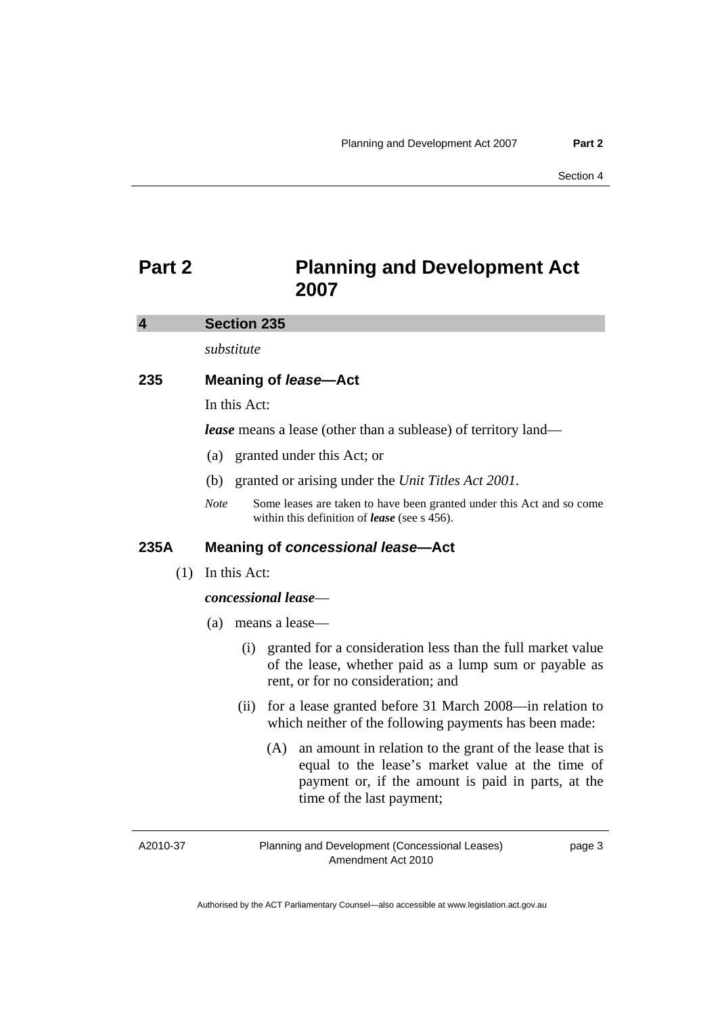# <span id="page-6-0"></span>**Part 2 Planning and Development Act 2007**

#### **4 Section 235**

*substitute* 

# **235 Meaning of** *lease***—Act**

In this Act:

*lease* means a lease (other than a sublease) of territory land—

- (a) granted under this Act; or
- (b) granted or arising under the *Unit Titles Act 2001*.
- *Note* Some leases are taken to have been granted under this Act and so come within this definition of *lease* (see s 456).

# **235A Meaning of** *concessional lease***—Act**

(1) In this Act:

#### *concessional lease*—

- (a) means a lease—
	- (i) granted for a consideration less than the full market value of the lease, whether paid as a lump sum or payable as rent, or for no consideration; and
	- (ii) for a lease granted before 31 March 2008—in relation to which neither of the following payments has been made:
		- (A) an amount in relation to the grant of the lease that is equal to the lease's market value at the time of payment or, if the amount is paid in parts, at the time of the last payment;

A2010-37

Planning and Development (Concessional Leases) Amendment Act 2010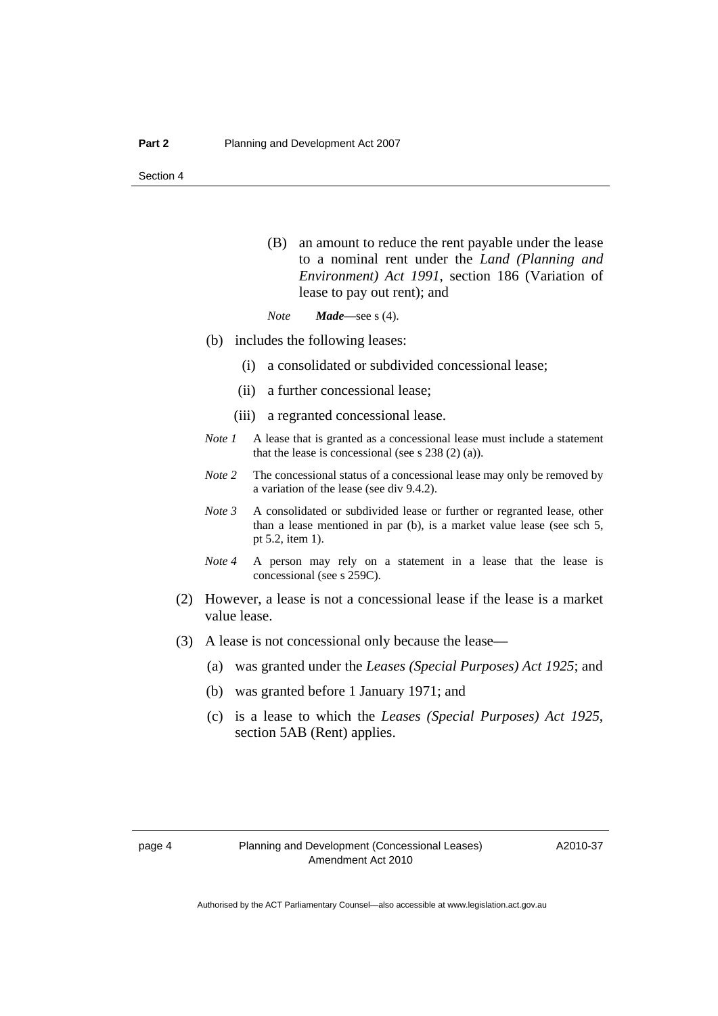(B) an amount to reduce the rent payable under the lease to a nominal rent under the *Land (Planning and Environment) Act 1991*, section 186 (Variation of lease to pay out rent); and

*Note Made*—see s (4).

- (b) includes the following leases:
	- (i) a consolidated or subdivided concessional lease;
	- (ii) a further concessional lease;
	- (iii) a regranted concessional lease.
- *Note 1* A lease that is granted as a concessional lease must include a statement that the lease is concessional (see s  $238(2)(a)$ ).
- *Note 2* The concessional status of a concessional lease may only be removed by a variation of the lease (see div 9.4.2).
- *Note 3* A consolidated or subdivided lease or further or regranted lease, other than a lease mentioned in par (b), is a market value lease (see sch 5, pt 5.2, item 1).
- *Note 4* A person may rely on a statement in a lease that the lease is concessional (see s 259C).
- (2) However, a lease is not a concessional lease if the lease is a market value lease.
- (3) A lease is not concessional only because the lease—
	- (a) was granted under the *Leases (Special Purposes) Act 1925*; and
	- (b) was granted before 1 January 1971; and
	- (c) is a lease to which the *Leases (Special Purposes) Act 1925*, section 5AB (Rent) applies.

A2010-37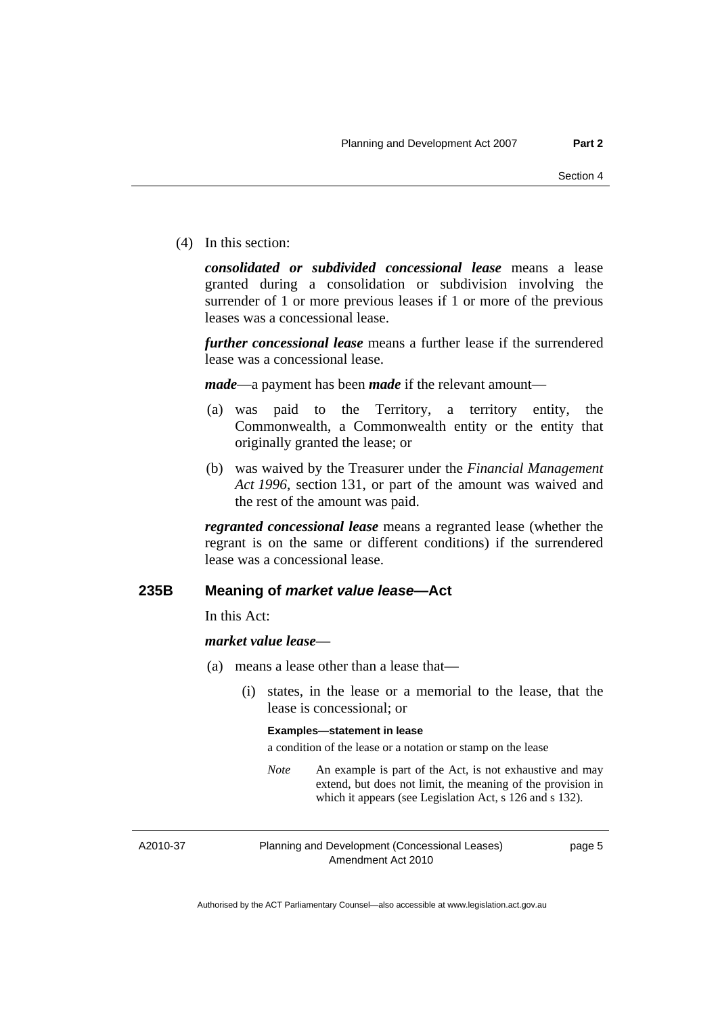(4) In this section:

*consolidated or subdivided concessional lease* means a lease granted during a consolidation or subdivision involving the surrender of 1 or more previous leases if 1 or more of the previous leases was a concessional lease.

*further concessional lease* means a further lease if the surrendered lease was a concessional lease.

*made*—a payment has been *made* if the relevant amount—

- (a) was paid to the Territory, a territory entity, the Commonwealth, a Commonwealth entity or the entity that originally granted the lease; or
- (b) was waived by the Treasurer under the *Financial Management Act 1996*, section 131, or part of the amount was waived and the rest of the amount was paid.

*regranted concessional lease* means a regranted lease (whether the regrant is on the same or different conditions) if the surrendered lease was a concessional lease.

## **235B Meaning of** *market value lease***—Act**

In this Act:

#### *market value lease*—

- (a) means a lease other than a lease that—
	- (i) states, in the lease or a memorial to the lease, that the lease is concessional; or

#### **Examples—statement in lease**

a condition of the lease or a notation or stamp on the lease

*Note* An example is part of the Act, is not exhaustive and may extend, but does not limit, the meaning of the provision in which it appears (see Legislation Act, s 126 and s 132).

A2010-37

Planning and Development (Concessional Leases) Amendment Act 2010

page 5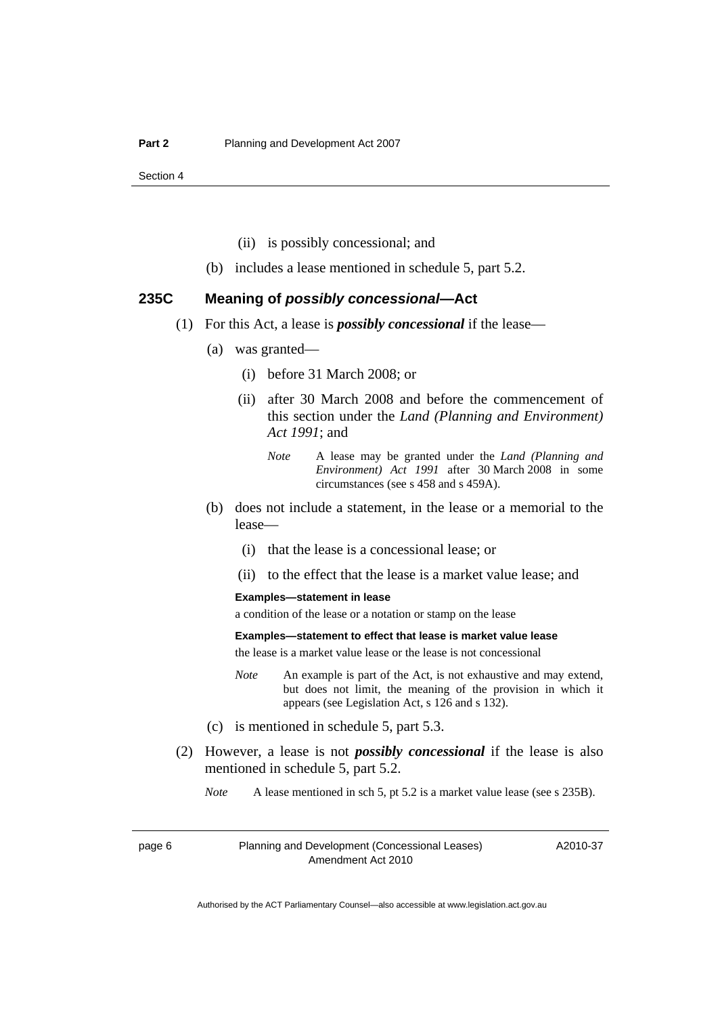- (ii) is possibly concessional; and
- (b) includes a lease mentioned in schedule 5, part 5.2.

#### **235C Meaning of** *possibly concessional***—Act**

- (1) For this Act, a lease is *possibly concessional* if the lease—
	- (a) was granted—
		- (i) before 31 March 2008; or
		- (ii) after 30 March 2008 and before the commencement of this section under the *Land (Planning and Environment) Act 1991*; and
			- *Note* A lease may be granted under the *Land (Planning and Environment) Act 1991* after 30 March 2008 in some circumstances (see s 458 and s 459A).
	- (b) does not include a statement, in the lease or a memorial to the lease—
		- (i) that the lease is a concessional lease; or
		- (ii) to the effect that the lease is a market value lease; and

#### **Examples—statement in lease**

a condition of the lease or a notation or stamp on the lease

#### **Examples—statement to effect that lease is market value lease**

the lease is a market value lease or the lease is not concessional

- *Note* An example is part of the Act, is not exhaustive and may extend, but does not limit, the meaning of the provision in which it appears (see Legislation Act, s 126 and s 132).
- (c) is mentioned in schedule 5, part 5.3.
- (2) However, a lease is not *possibly concessional* if the lease is also mentioned in schedule 5, part 5.2.

*Note* A lease mentioned in sch 5, pt 5.2 is a market value lease (see s 235B).

page 6 Planning and Development (Concessional Leases) Amendment Act 2010

A2010-37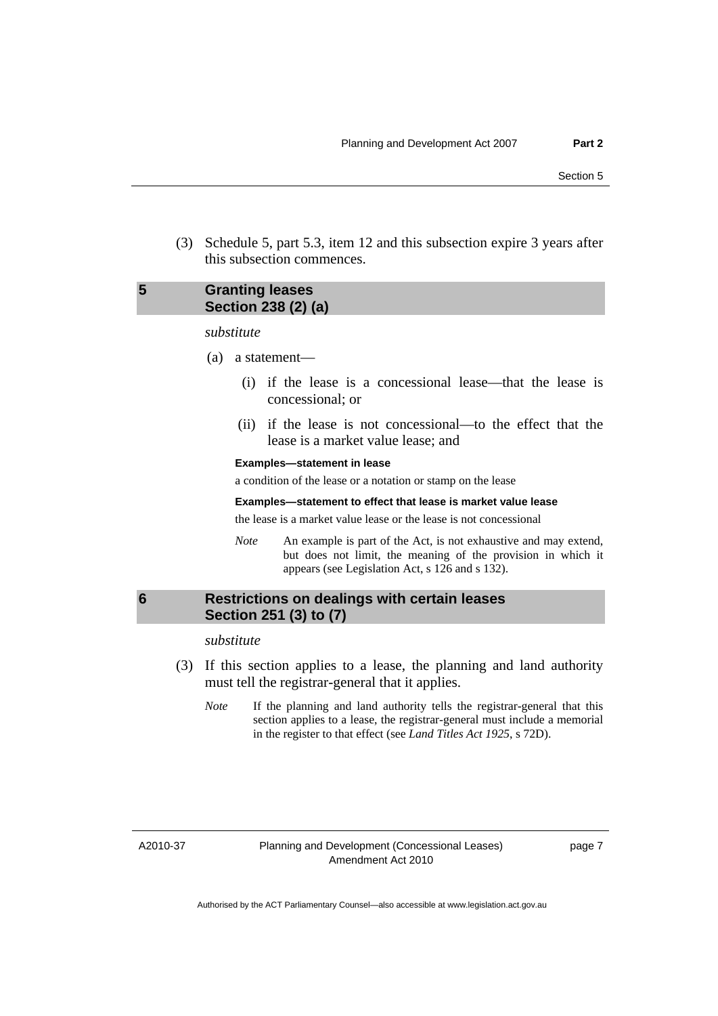<span id="page-10-0"></span> (3) Schedule 5, part 5.3, item 12 and this subsection expire 3 years after this subsection commences.

## **5 Granting leases Section 238 (2) (a)**

#### *substitute*

- (a) a statement—
	- (i) if the lease is a concessional lease—that the lease is concessional; or
	- (ii) if the lease is not concessional—to the effect that the lease is a market value lease; and

#### **Examples—statement in lease**

a condition of the lease or a notation or stamp on the lease

#### **Examples—statement to effect that lease is market value lease**

the lease is a market value lease or the lease is not concessional

*Note* An example is part of the Act, is not exhaustive and may extend, but does not limit, the meaning of the provision in which it appears (see Legislation Act, s 126 and s 132).

## **6 Restrictions on dealings with certain leases Section 251 (3) to (7)**

*substitute* 

- (3) If this section applies to a lease, the planning and land authority must tell the registrar-general that it applies.
	- *Note* If the planning and land authority tells the registrar-general that this section applies to a lease, the registrar-general must include a memorial in the register to that effect (see *Land Titles Act 1925*, s 72D).

A2010-37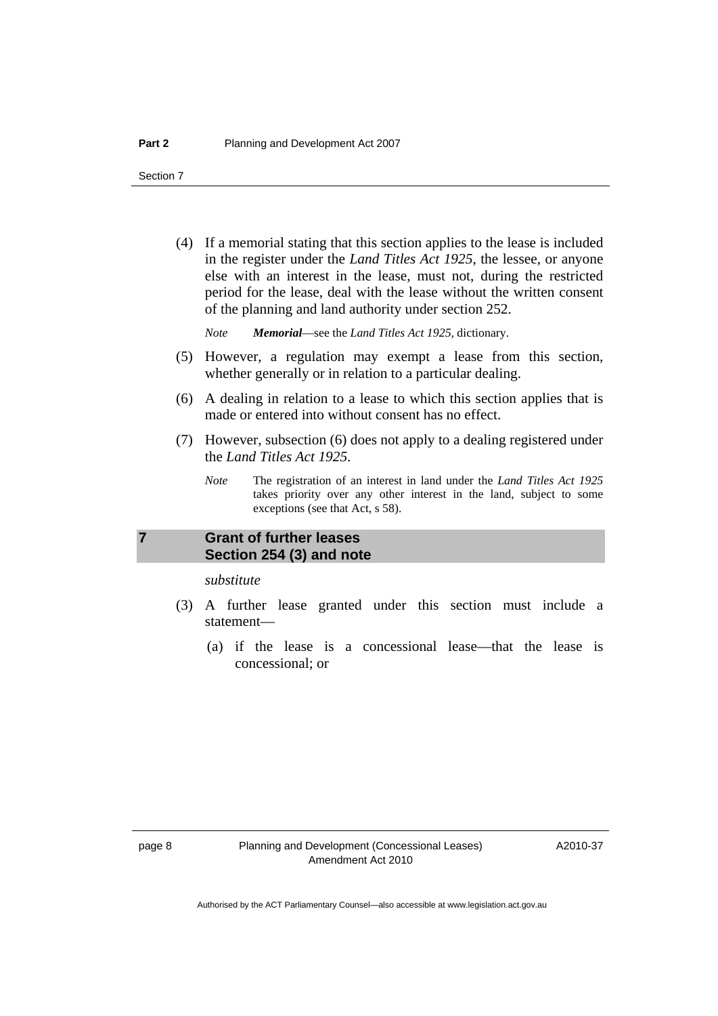<span id="page-11-0"></span> (4) If a memorial stating that this section applies to the lease is included in the register under the *Land Titles Act 1925*, the lessee, or anyone else with an interest in the lease, must not, during the restricted period for the lease, deal with the lease without the written consent of the planning and land authority under section 252.

*Note Memorial*—see the *Land Titles Act 1925*, dictionary.

- (5) However, a regulation may exempt a lease from this section, whether generally or in relation to a particular dealing.
- (6) A dealing in relation to a lease to which this section applies that is made or entered into without consent has no effect.
- (7) However, subsection (6) does not apply to a dealing registered under the *Land Titles Act 1925*.
	- *Note* The registration of an interest in land under the *Land Titles Act 1925* takes priority over any other interest in the land, subject to some exceptions (see that Act, s 58).

# **7 Grant of further leases Section 254 (3) and note**

*substitute* 

- (3) A further lease granted under this section must include a statement—
	- (a) if the lease is a concessional lease—that the lease is concessional; or

A2010-37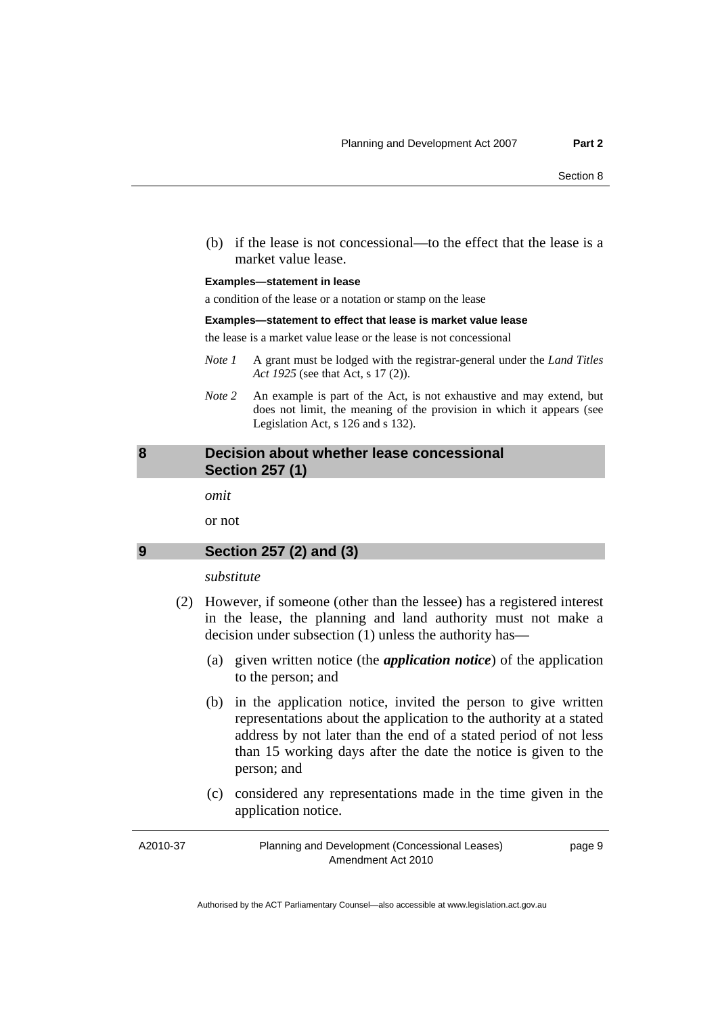<span id="page-12-0"></span> (b) if the lease is not concessional—to the effect that the lease is a market value lease.

#### **Examples—statement in lease**

a condition of the lease or a notation or stamp on the lease

#### **Examples—statement to effect that lease is market value lease**

the lease is a market value lease or the lease is not concessional

- *Note 1* A grant must be lodged with the registrar-general under the *Land Titles Act 1925* (see that Act, s 17 (2)).
- *Note* 2 An example is part of the Act, is not exhaustive and may extend, but does not limit, the meaning of the provision in which it appears (see Legislation Act, s 126 and s 132).

#### **8 Decision about whether lease concessional Section 257 (1)**

*omit* 

or not

### **9 Section 257 (2) and (3)**

### *substitute*

- (2) However, if someone (other than the lessee) has a registered interest in the lease, the planning and land authority must not make a decision under subsection (1) unless the authority has—
	- (a) given written notice (the *application notice*) of the application to the person; and
	- (b) in the application notice, invited the person to give written representations about the application to the authority at a stated address by not later than the end of a stated period of not less than 15 working days after the date the notice is given to the person; and
	- (c) considered any representations made in the time given in the application notice.

A2010-37

Planning and Development (Concessional Leases) Amendment Act 2010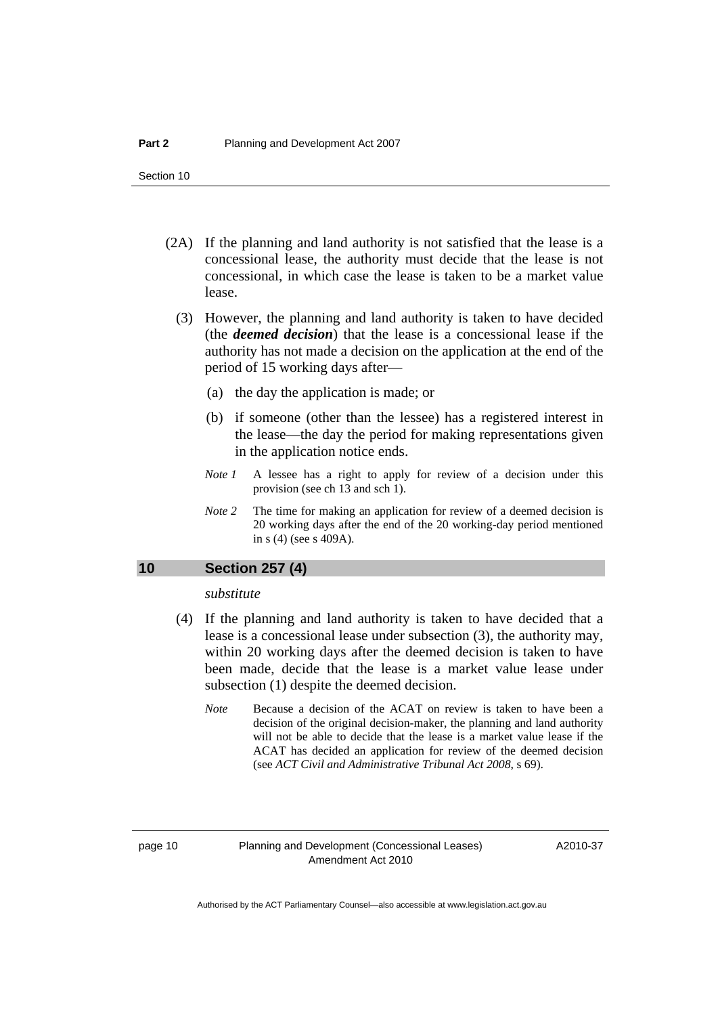- <span id="page-13-0"></span> (2A) If the planning and land authority is not satisfied that the lease is a concessional lease, the authority must decide that the lease is not concessional, in which case the lease is taken to be a market value lease.
	- (3) However, the planning and land authority is taken to have decided (the *deemed decision*) that the lease is a concessional lease if the authority has not made a decision on the application at the end of the period of 15 working days after—
		- (a) the day the application is made; or
		- (b) if someone (other than the lessee) has a registered interest in the lease—the day the period for making representations given in the application notice ends.
		- *Note 1* A lessee has a right to apply for review of a decision under this provision (see ch 13 and sch 1).
		- *Note* 2 The time for making an application for review of a deemed decision is 20 working days after the end of the 20 working-day period mentioned in s (4) (see s 409A).

### **10 Section 257 (4)**

*substitute* 

- (4) If the planning and land authority is taken to have decided that a lease is a concessional lease under subsection (3), the authority may, within 20 working days after the deemed decision is taken to have been made, decide that the lease is a market value lease under subsection (1) despite the deemed decision.
	- *Note* Because a decision of the ACAT on review is taken to have been a decision of the original decision-maker, the planning and land authority will not be able to decide that the lease is a market value lease if the ACAT has decided an application for review of the deemed decision (see *ACT Civil and Administrative Tribunal Act 2008*, s 69).

page 10 Planning and Development (Concessional Leases) Amendment Act 2010

A2010-37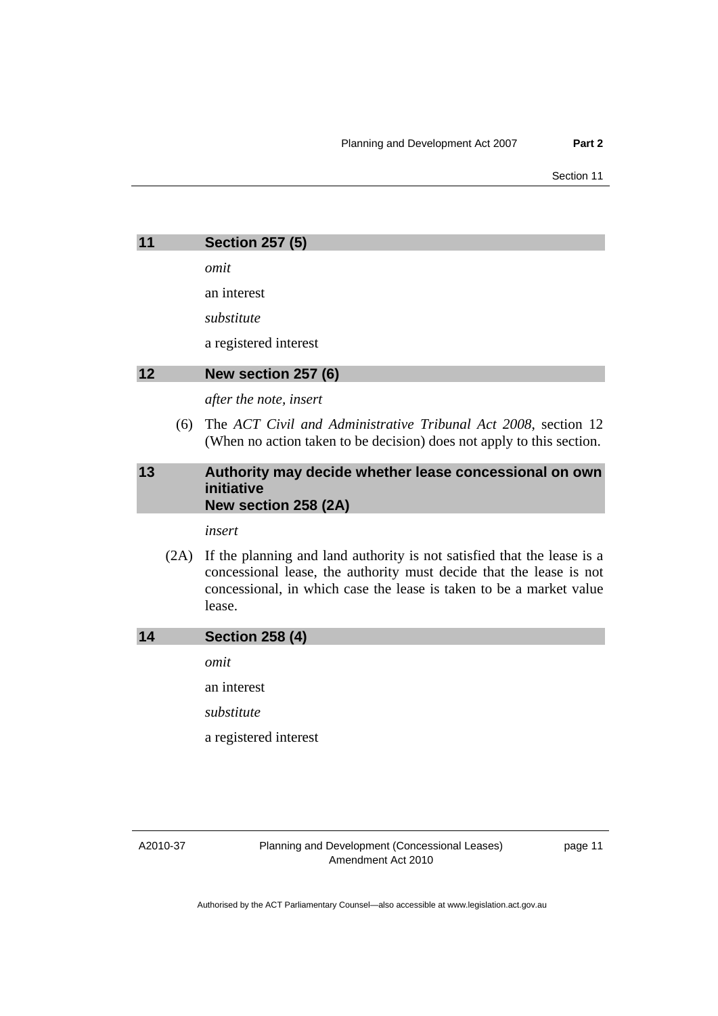<span id="page-14-0"></span>

| 11 |      | <b>Section 257 (5)</b>                                                                                                                                                                                                          |
|----|------|---------------------------------------------------------------------------------------------------------------------------------------------------------------------------------------------------------------------------------|
|    |      |                                                                                                                                                                                                                                 |
|    |      | omit                                                                                                                                                                                                                            |
|    |      | an interest                                                                                                                                                                                                                     |
|    |      | substitute                                                                                                                                                                                                                      |
|    |      | a registered interest                                                                                                                                                                                                           |
| 12 |      | New section 257 (6)                                                                                                                                                                                                             |
|    |      | after the note, insert                                                                                                                                                                                                          |
|    | (6)  | The ACT Civil and Administrative Tribunal Act 2008, section 12<br>(When no action taken to be decision) does not apply to this section.                                                                                         |
| 13 |      | Authority may decide whether lease concessional on own<br>initiative<br>New section 258 (2A)                                                                                                                                    |
|    |      | insert                                                                                                                                                                                                                          |
|    | (2A) | If the planning and land authority is not satisfied that the lease is a<br>concessional lease, the authority must decide that the lease is not<br>concessional, in which case the lease is taken to be a market value<br>lease. |
| 14 |      | <b>Section 258 (4)</b>                                                                                                                                                                                                          |
|    |      | omit                                                                                                                                                                                                                            |
|    |      | an interest                                                                                                                                                                                                                     |
|    |      | substitute                                                                                                                                                                                                                      |
|    |      | a registered interest                                                                                                                                                                                                           |
|    |      |                                                                                                                                                                                                                                 |
|    |      |                                                                                                                                                                                                                                 |

A2010-37

Planning and Development (Concessional Leases) Amendment Act 2010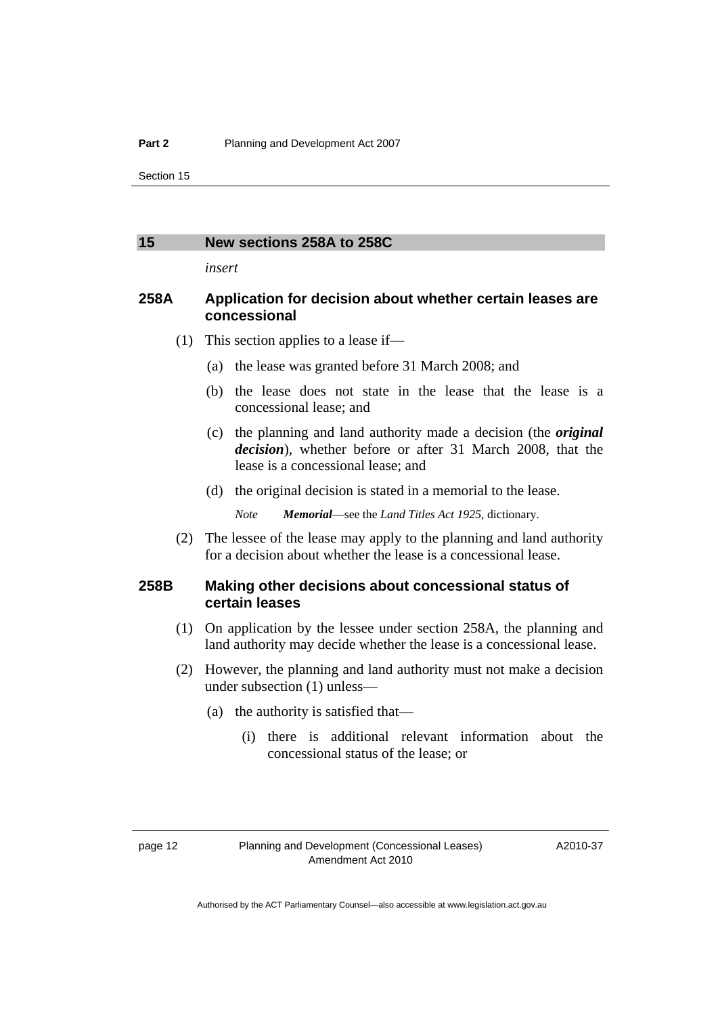#### <span id="page-15-0"></span>**15 New sections 258A to 258C**

*insert* 

## **258A Application for decision about whether certain leases are concessional**

(1) This section applies to a lease if—

- (a) the lease was granted before 31 March 2008; and
- (b) the lease does not state in the lease that the lease is a concessional lease; and
- (c) the planning and land authority made a decision (the *original decision*), whether before or after 31 March 2008, that the lease is a concessional lease; and
- (d) the original decision is stated in a memorial to the lease.

*Note Memorial*—see the *Land Titles Act 1925*, dictionary.

 (2) The lessee of the lease may apply to the planning and land authority for a decision about whether the lease is a concessional lease.

### **258B Making other decisions about concessional status of certain leases**

- (1) On application by the lessee under section 258A, the planning and land authority may decide whether the lease is a concessional lease.
- (2) However, the planning and land authority must not make a decision under subsection (1) unless—
	- (a) the authority is satisfied that—
		- (i) there is additional relevant information about the concessional status of the lease; or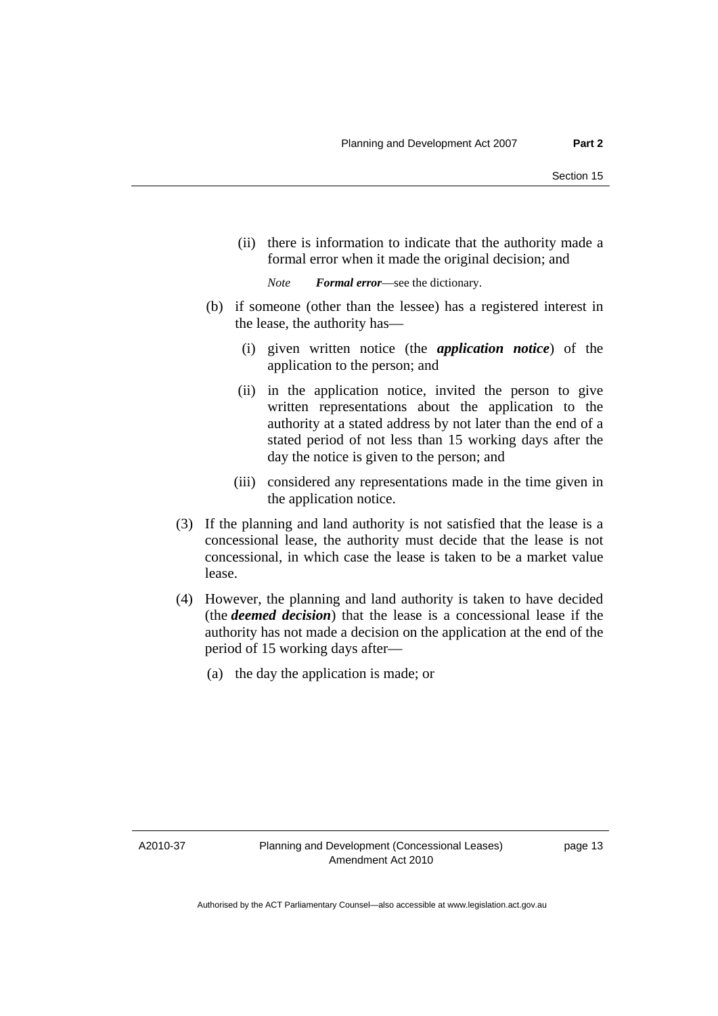(ii) there is information to indicate that the authority made a formal error when it made the original decision; and

*Note Formal error*—see the dictionary.

- (b) if someone (other than the lessee) has a registered interest in the lease, the authority has—
	- (i) given written notice (the *application notice*) of the application to the person; and
	- (ii) in the application notice, invited the person to give written representations about the application to the authority at a stated address by not later than the end of a stated period of not less than 15 working days after the day the notice is given to the person; and
	- (iii) considered any representations made in the time given in the application notice.
- (3) If the planning and land authority is not satisfied that the lease is a concessional lease, the authority must decide that the lease is not concessional, in which case the lease is taken to be a market value lease.
- (4) However, the planning and land authority is taken to have decided (the *deemed decision*) that the lease is a concessional lease if the authority has not made a decision on the application at the end of the period of 15 working days after—
	- (a) the day the application is made; or

A2010-37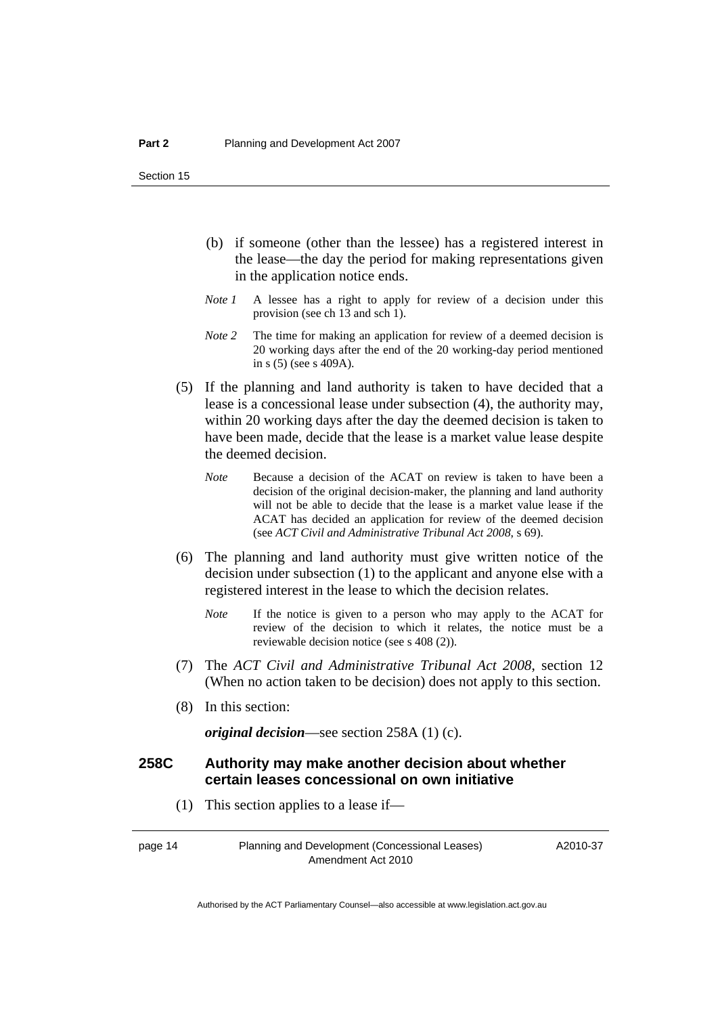- (b) if someone (other than the lessee) has a registered interest in the lease—the day the period for making representations given in the application notice ends.
- *Note 1* A lessee has a right to apply for review of a decision under this provision (see ch 13 and sch 1).
- *Note 2* The time for making an application for review of a deemed decision is 20 working days after the end of the 20 working-day period mentioned in s (5) (see s 409A).
- (5) If the planning and land authority is taken to have decided that a lease is a concessional lease under subsection (4), the authority may, within 20 working days after the day the deemed decision is taken to have been made, decide that the lease is a market value lease despite the deemed decision.
	- *Note* Because a decision of the ACAT on review is taken to have been a decision of the original decision-maker, the planning and land authority will not be able to decide that the lease is a market value lease if the ACAT has decided an application for review of the deemed decision (see *ACT Civil and Administrative Tribunal Act 2008*, s 69).
- (6) The planning and land authority must give written notice of the decision under subsection (1) to the applicant and anyone else with a registered interest in the lease to which the decision relates.
	- *Note* If the notice is given to a person who may apply to the ACAT for review of the decision to which it relates, the notice must be a reviewable decision notice (see s 408 (2)).
- (7) The *ACT Civil and Administrative Tribunal Act 2008*, section 12 (When no action taken to be decision) does not apply to this section.
- (8) In this section:

*original decision*—see section 258A (1) (c).

## **258C Authority may make another decision about whether certain leases concessional on own initiative**

(1) This section applies to a lease if—

page 14 Planning and Development (Concessional Leases) Amendment Act 2010

A2010-37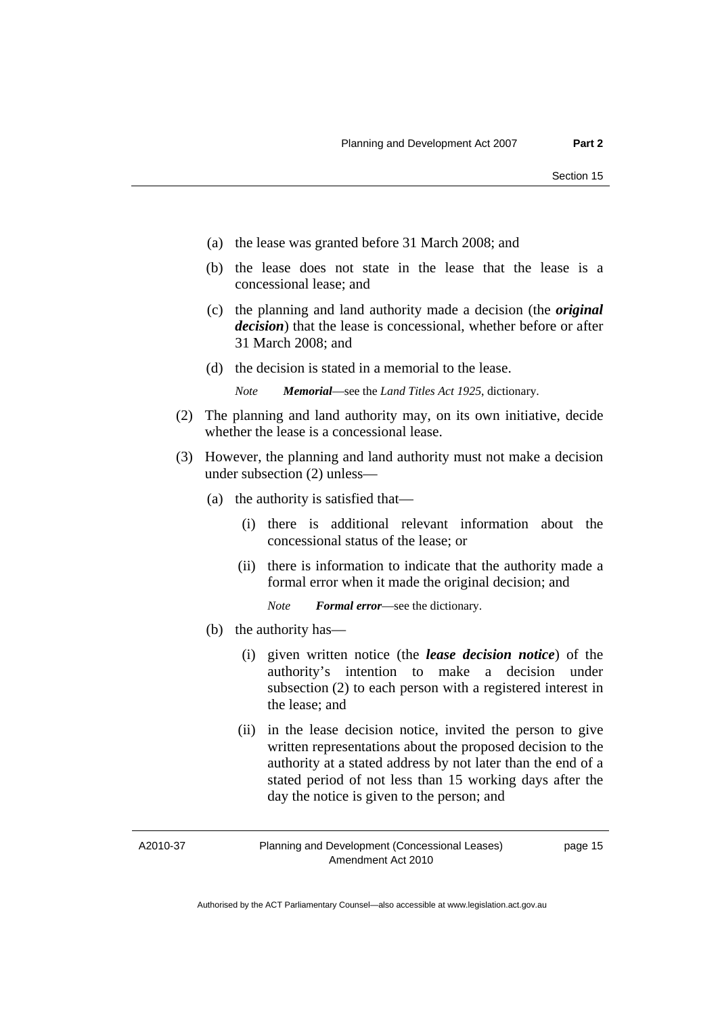- (a) the lease was granted before 31 March 2008; and
- (b) the lease does not state in the lease that the lease is a concessional lease; and
- (c) the planning and land authority made a decision (the *original decision*) that the lease is concessional, whether before or after 31 March 2008; and
- (d) the decision is stated in a memorial to the lease.

*Note Memorial*—see the *Land Titles Act 1925*, dictionary.

- (2) The planning and land authority may, on its own initiative, decide whether the lease is a concessional lease.
- (3) However, the planning and land authority must not make a decision under subsection (2) unless—
	- (a) the authority is satisfied that—
		- (i) there is additional relevant information about the concessional status of the lease; or
		- (ii) there is information to indicate that the authority made a formal error when it made the original decision; and

*Note Formal error*—see the dictionary.

- (b) the authority has—
	- (i) given written notice (the *lease decision notice*) of the authority's intention to make a decision under subsection (2) to each person with a registered interest in the lease; and
	- (ii) in the lease decision notice, invited the person to give written representations about the proposed decision to the authority at a stated address by not later than the end of a stated period of not less than 15 working days after the day the notice is given to the person; and

A2010-37

Planning and Development (Concessional Leases) Amendment Act 2010

page 15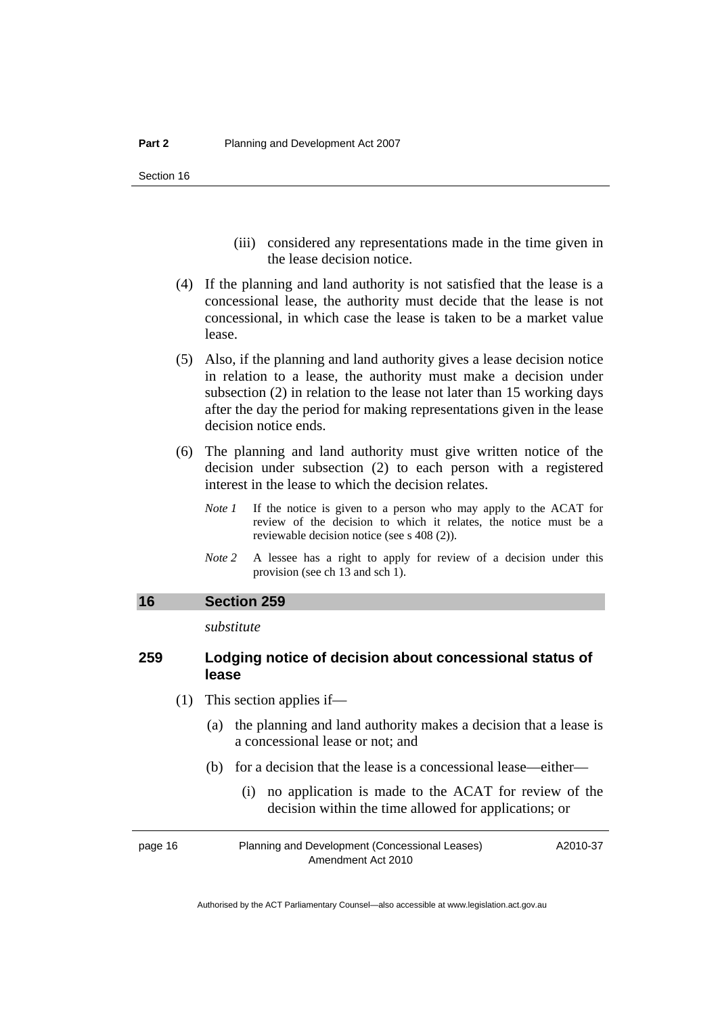- (iii) considered any representations made in the time given in the lease decision notice.
- <span id="page-19-0"></span> (4) If the planning and land authority is not satisfied that the lease is a concessional lease, the authority must decide that the lease is not concessional, in which case the lease is taken to be a market value lease.
- (5) Also, if the planning and land authority gives a lease decision notice in relation to a lease, the authority must make a decision under subsection (2) in relation to the lease not later than 15 working days after the day the period for making representations given in the lease decision notice ends.
- (6) The planning and land authority must give written notice of the decision under subsection (2) to each person with a registered interest in the lease to which the decision relates.
	- *Note 1* If the notice is given to a person who may apply to the ACAT for review of the decision to which it relates, the notice must be a reviewable decision notice (see s 408 (2)).
	- *Note* 2 A lessee has a right to apply for review of a decision under this provision (see ch 13 and sch 1).

#### **16 Section 259**

*substitute* 

# **259 Lodging notice of decision about concessional status of lease**

- (1) This section applies if—
	- (a) the planning and land authority makes a decision that a lease is a concessional lease or not; and
	- (b) for a decision that the lease is a concessional lease—either—
		- (i) no application is made to the ACAT for review of the decision within the time allowed for applications; or

| page 16 | Planning and Development (Concessional Leases) | A2010-37 |
|---------|------------------------------------------------|----------|
|         | Amendment Act 2010                             |          |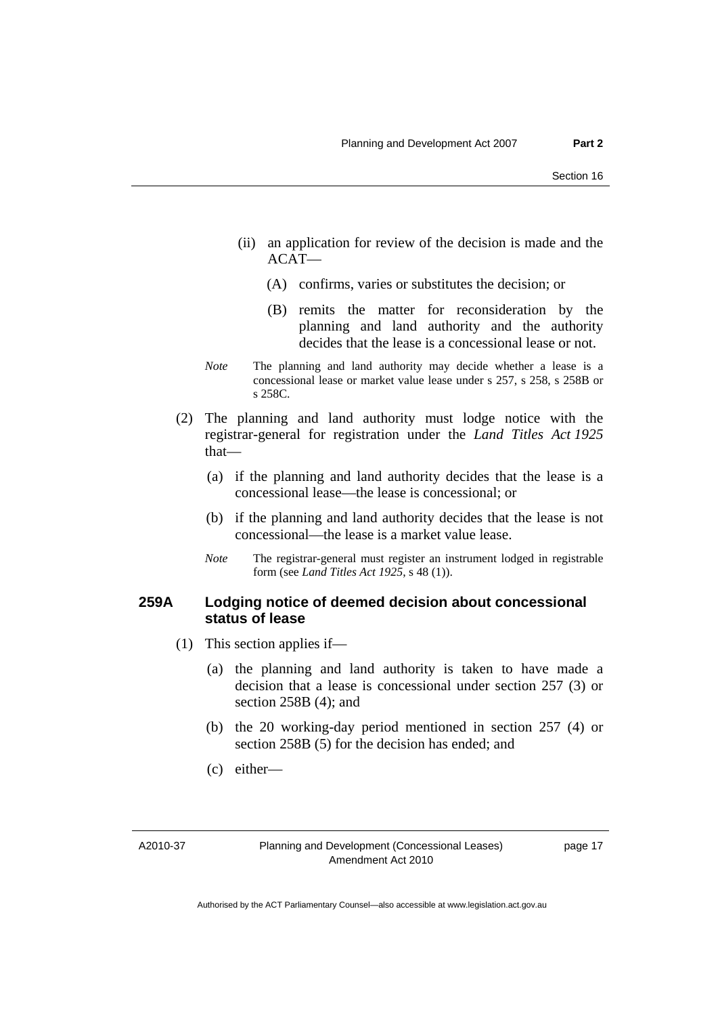- (ii) an application for review of the decision is made and the  $ACAT$ —
	- (A) confirms, varies or substitutes the decision; or
	- (B) remits the matter for reconsideration by the planning and land authority and the authority decides that the lease is a concessional lease or not.
- *Note* The planning and land authority may decide whether a lease is a concessional lease or market value lease under s 257, s 258, s 258B or s 258C.
- (2) The planning and land authority must lodge notice with the registrar-general for registration under the *Land Titles Act 1925*  that—
	- (a) if the planning and land authority decides that the lease is a concessional lease—the lease is concessional; or
	- (b) if the planning and land authority decides that the lease is not concessional—the lease is a market value lease.
	- *Note* The registrar-general must register an instrument lodged in registrable form (see *Land Titles Act 1925*, s 48 (1)).

# **259A Lodging notice of deemed decision about concessional status of lease**

- (1) This section applies if—
	- (a) the planning and land authority is taken to have made a decision that a lease is concessional under section 257 (3) or section 258B (4); and
	- (b) the 20 working-day period mentioned in section 257 (4) or section 258B (5) for the decision has ended; and
	- (c) either—

A2010-37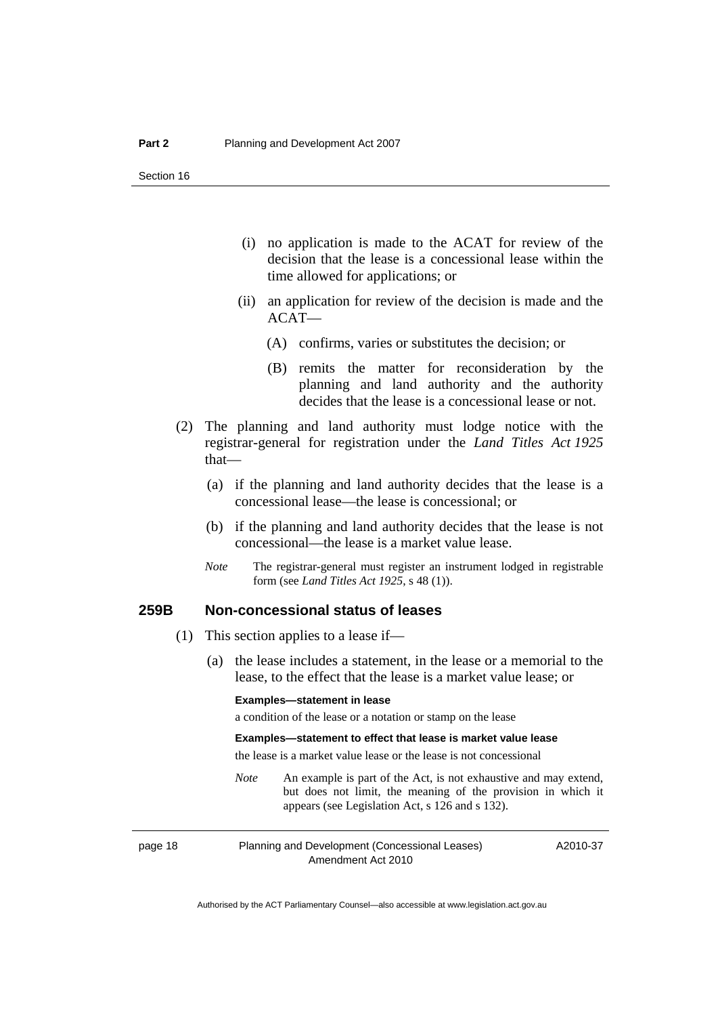- (i) no application is made to the ACAT for review of the decision that the lease is a concessional lease within the time allowed for applications; or
- (ii) an application for review of the decision is made and the ACAT—
	- (A) confirms, varies or substitutes the decision; or
	- (B) remits the matter for reconsideration by the planning and land authority and the authority decides that the lease is a concessional lease or not.
- (2) The planning and land authority must lodge notice with the registrar-general for registration under the *Land Titles Act 1925*  that—
	- (a) if the planning and land authority decides that the lease is a concessional lease—the lease is concessional; or
	- (b) if the planning and land authority decides that the lease is not concessional—the lease is a market value lease.
	- *Note* The registrar-general must register an instrument lodged in registrable form (see *Land Titles Act 1925*, s 48 (1)).

#### **259B Non-concessional status of leases**

- (1) This section applies to a lease if—
	- (a) the lease includes a statement, in the lease or a memorial to the lease, to the effect that the lease is a market value lease; or

#### **Examples—statement in lease**

a condition of the lease or a notation or stamp on the lease

#### **Examples—statement to effect that lease is market value lease**

the lease is a market value lease or the lease is not concessional

*Note* An example is part of the Act, is not exhaustive and may extend, but does not limit, the meaning of the provision in which it appears (see Legislation Act, s 126 and s 132).

page 18 Planning and Development (Concessional Leases) Amendment Act 2010

A2010-37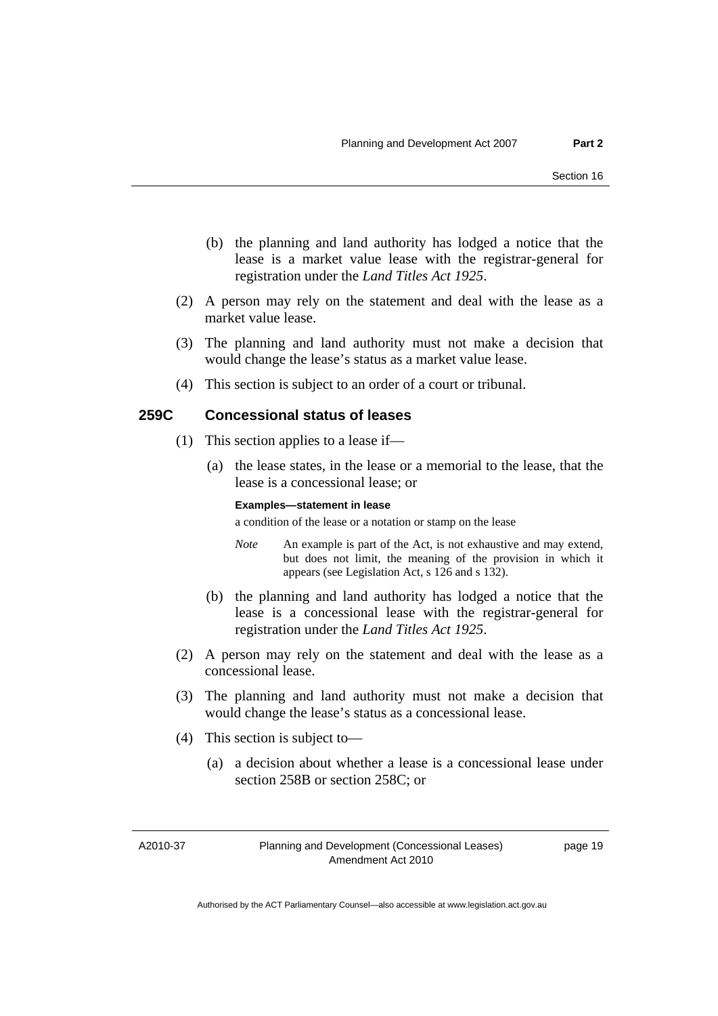- (b) the planning and land authority has lodged a notice that the lease is a market value lease with the registrar-general for registration under the *Land Titles Act 1925*.
- (2) A person may rely on the statement and deal with the lease as a market value lease.
- (3) The planning and land authority must not make a decision that would change the lease's status as a market value lease.
- (4) This section is subject to an order of a court or tribunal.

### **259C Concessional status of leases**

- (1) This section applies to a lease if—
	- (a) the lease states, in the lease or a memorial to the lease, that the lease is a concessional lease; or

#### **Examples—statement in lease**

a condition of the lease or a notation or stamp on the lease

- *Note* An example is part of the Act, is not exhaustive and may extend, but does not limit, the meaning of the provision in which it appears (see Legislation Act, s 126 and s 132).
- (b) the planning and land authority has lodged a notice that the lease is a concessional lease with the registrar-general for registration under the *Land Titles Act 1925*.
- (2) A person may rely on the statement and deal with the lease as a concessional lease.
- (3) The planning and land authority must not make a decision that would change the lease's status as a concessional lease.
- (4) This section is subject to—
	- (a) a decision about whether a lease is a concessional lease under section 258B or section 258C; or

A2010-37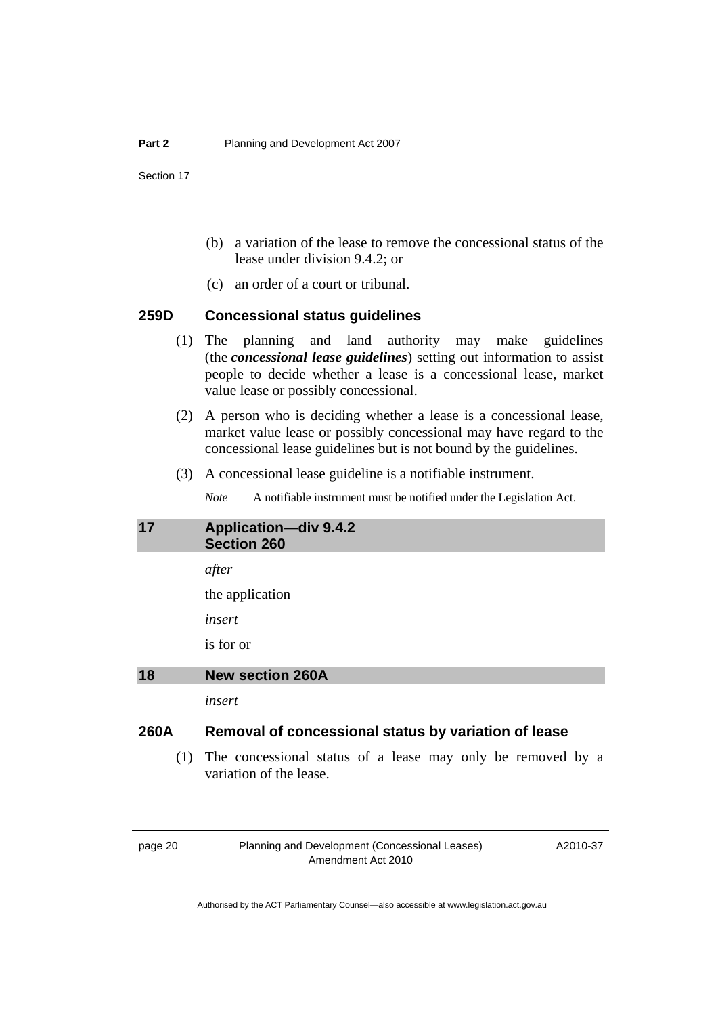- <span id="page-23-0"></span> (b) a variation of the lease to remove the concessional status of the lease under division 9.4.2; or
- (c) an order of a court or tribunal.

### **259D Concessional status guidelines**

- (1) The planning and land authority may make guidelines (the *concessional lease guidelines*) setting out information to assist people to decide whether a lease is a concessional lease, market value lease or possibly concessional.
- (2) A person who is deciding whether a lease is a concessional lease, market value lease or possibly concessional may have regard to the concessional lease guidelines but is not bound by the guidelines.
- (3) A concessional lease guideline is a notifiable instrument.

*Note* A notifiable instrument must be notified under the Legislation Act.

| 17   | <b>Application-div 9.4.2</b><br><b>Section 260</b>   |
|------|------------------------------------------------------|
|      | after                                                |
|      | the application                                      |
|      | insert                                               |
|      | is for or                                            |
| 18   | <b>New section 260A</b>                              |
|      | insert                                               |
| 260A | Removal of concessional status by variation of lease |
|      |                                                      |

 (1) The concessional status of a lease may only be removed by a variation of the lease.

page 20 Planning and Development (Concessional Leases) Amendment Act 2010

A2010-37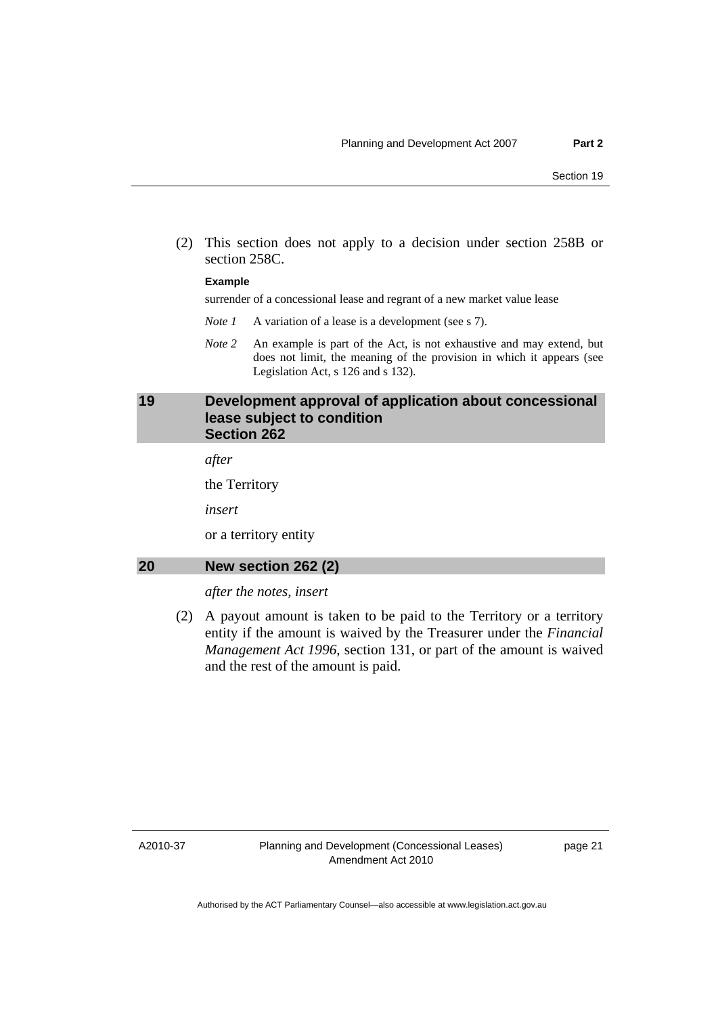<span id="page-24-0"></span> (2) This section does not apply to a decision under section 258B or section 258C.

#### **Example**

surrender of a concessional lease and regrant of a new market value lease

- *Note 1* A variation of a lease is a development (see s 7).
- *Note 2* An example is part of the Act, is not exhaustive and may extend, but does not limit, the meaning of the provision in which it appears (see Legislation Act, s 126 and s 132).

### **19 Development approval of application about concessional lease subject to condition Section 262**

*after* 

the Territory

*insert* 

or a territory entity

### **20 New section 262 (2)**

*after the notes, insert* 

 (2) A payout amount is taken to be paid to the Territory or a territory entity if the amount is waived by the Treasurer under the *Financial Management Act 1996*, section 131, or part of the amount is waived and the rest of the amount is paid.

A2010-37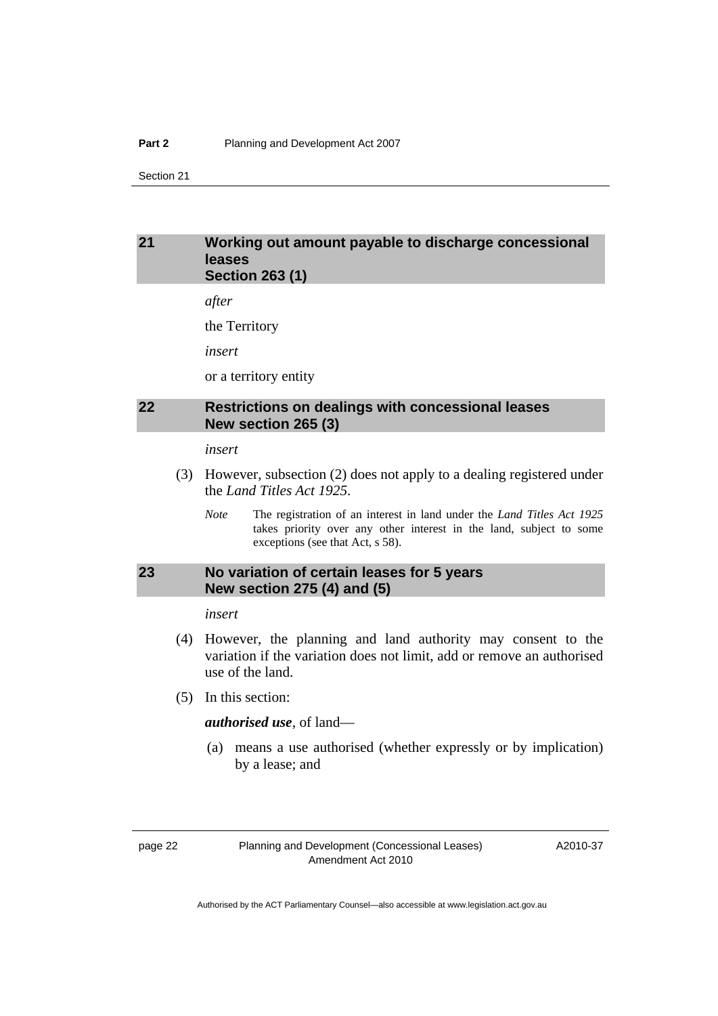#### <span id="page-25-0"></span>**Part 2** Planning and Development Act 2007

Section 21

### **21 Working out amount payable to discharge concessional leases Section 263 (1)**

*after* 

the Territory

*insert* 

or a territory entity

# **22 Restrictions on dealings with concessional leases New section 265 (3)**

*insert* 

- (3) However, subsection (2) does not apply to a dealing registered under the *Land Titles Act 1925*.
	- *Note* The registration of an interest in land under the *Land Titles Act 1925* takes priority over any other interest in the land, subject to some exceptions (see that Act, s 58).

# **23 No variation of certain leases for 5 years New section 275 (4) and (5)**

*insert* 

- (4) However, the planning and land authority may consent to the variation if the variation does not limit, add or remove an authorised use of the land.
- (5) In this section:

*authorised use*, of land—

 (a) means a use authorised (whether expressly or by implication) by a lease; and

page 22 Planning and Development (Concessional Leases) Amendment Act 2010

A2010-37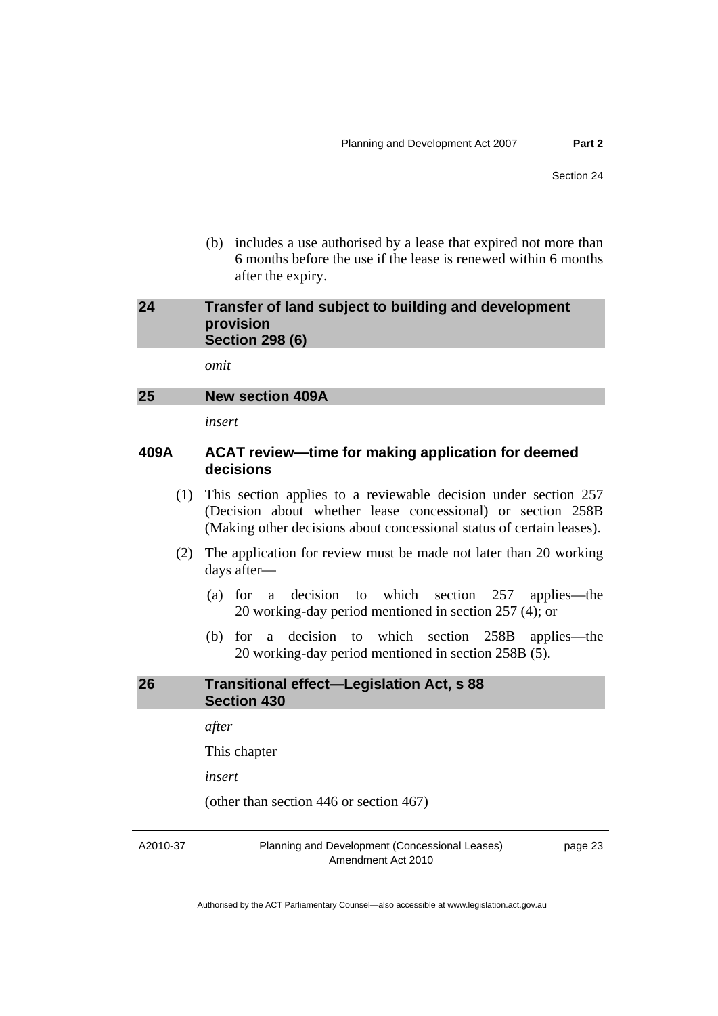<span id="page-26-0"></span> (b) includes a use authorised by a lease that expired not more than 6 months before the use if the lease is renewed within 6 months after the expiry.

## **24 Transfer of land subject to building and development provision Section 298 (6)**

*omit* 

# **25 New section 409A**

*insert* 

# **409A ACAT review—time for making application for deemed decisions**

- (1) This section applies to a reviewable decision under section 257 (Decision about whether lease concessional) or section 258B (Making other decisions about concessional status of certain leases).
- (2) The application for review must be made not later than 20 working days after—
	- (a) for a decision to which section 257 applies—the 20 working-day period mentioned in section 257 (4); or
	- (b) for a decision to which section 258B applies—the 20 working-day period mentioned in section 258B (5).

# **26 Transitional effect—Legislation Act, s 88 Section 430**

*after* 

This chapter

*insert* 

(other than section 446 or section 467)

A2010-37

Planning and Development (Concessional Leases) Amendment Act 2010

page 23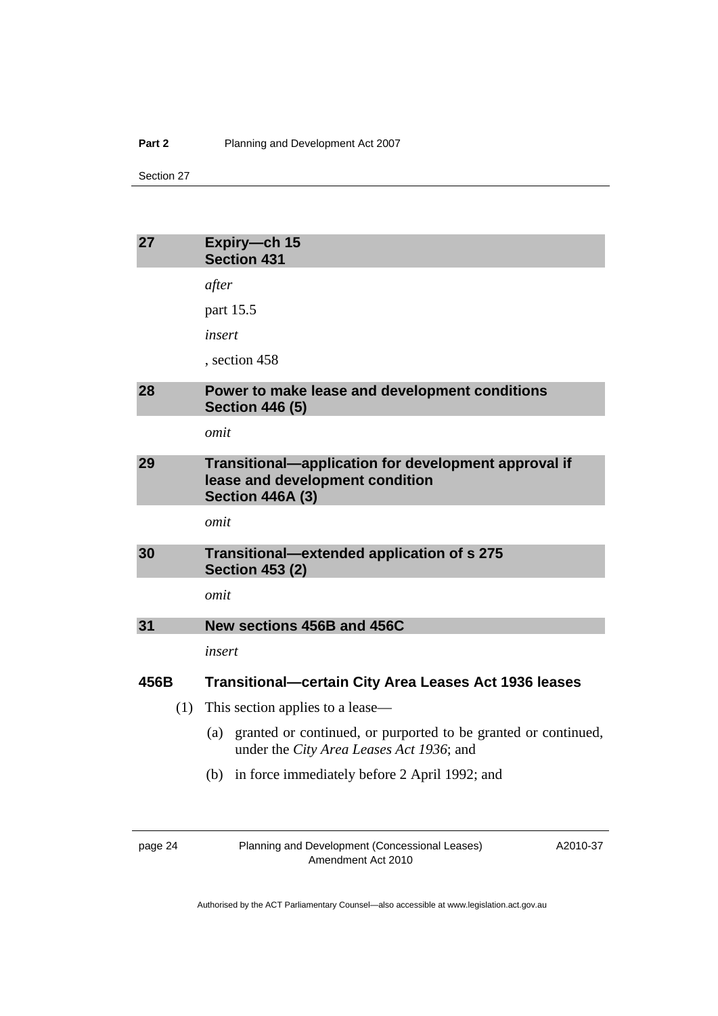#### <span id="page-27-0"></span>**Part 2** Planning and Development Act 2007

Section 27

| 27   | Expiry-ch 15<br><b>Section 431</b>                                                                                 |
|------|--------------------------------------------------------------------------------------------------------------------|
|      | after                                                                                                              |
|      | part 15.5                                                                                                          |
|      | insert                                                                                                             |
|      | , section 458                                                                                                      |
| 28   | Power to make lease and development conditions<br><b>Section 446 (5)</b>                                           |
|      | omit                                                                                                               |
| 29   | Transitional-application for development approval if<br>lease and development condition<br><b>Section 446A (3)</b> |
|      | omit                                                                                                               |
| 30   | Transitional-extended application of s 275<br><b>Section 453 (2)</b>                                               |
|      | omit                                                                                                               |
| 31   | New sections 456B and 456C                                                                                         |
|      | insert                                                                                                             |
| 456B | <b>Transitional–certain City Area Leases Act 1936 leases</b>                                                       |
| (1)  | This section applies to a lease—                                                                                   |
|      | granted or continued, or purported to be granted or continued,<br>(a)<br>under the City Area Leases Act 1936; and  |
|      | (b) in force immediately before 2 April 1992; and                                                                  |

| IC.<br><b>ALC: Y</b><br>г |  |
|---------------------------|--|
|---------------------------|--|

Planning and Development (Concessional Leases) Amendment Act 2010

A2010-37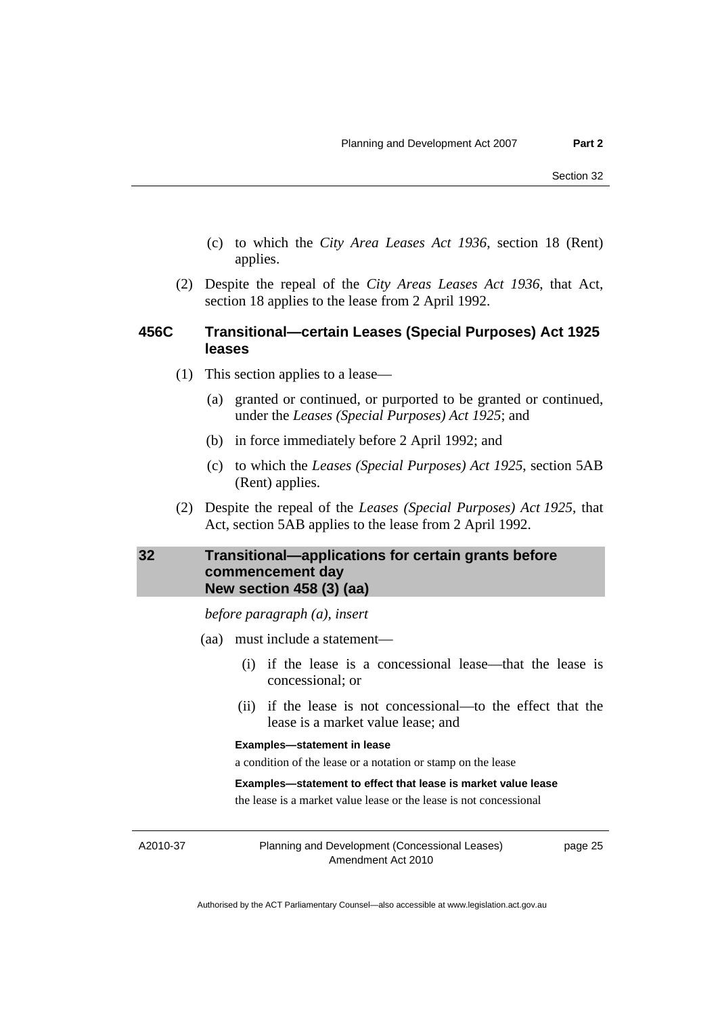- <span id="page-28-0"></span> (c) to which the *City Area Leases Act 1936*, section 18 (Rent) applies.
- (2) Despite the repeal of the *City Areas Leases Act 1936*, that Act, section 18 applies to the lease from 2 April 1992.

### **456C Transitional—certain Leases (Special Purposes) Act 1925 leases**

- (1) This section applies to a lease—
	- (a) granted or continued, or purported to be granted or continued, under the *Leases (Special Purposes) Act 1925*; and
	- (b) in force immediately before 2 April 1992; and
	- (c) to which the *Leases (Special Purposes) Act 1925*, section 5AB (Rent) applies.
- (2) Despite the repeal of the *Leases (Special Purposes) Act 1925*, that Act, section 5AB applies to the lease from 2 April 1992.

# **32 Transitional—applications for certain grants before commencement day New section 458 (3) (aa)**

*before paragraph (a), insert* 

- (aa) must include a statement—
	- (i) if the lease is a concessional lease—that the lease is concessional; or
	- (ii) if the lease is not concessional—to the effect that the lease is a market value lease; and

#### **Examples—statement in lease**

a condition of the lease or a notation or stamp on the lease

#### **Examples—statement to effect that lease is market value lease**

the lease is a market value lease or the lease is not concessional

A2010-37

Planning and Development (Concessional Leases) Amendment Act 2010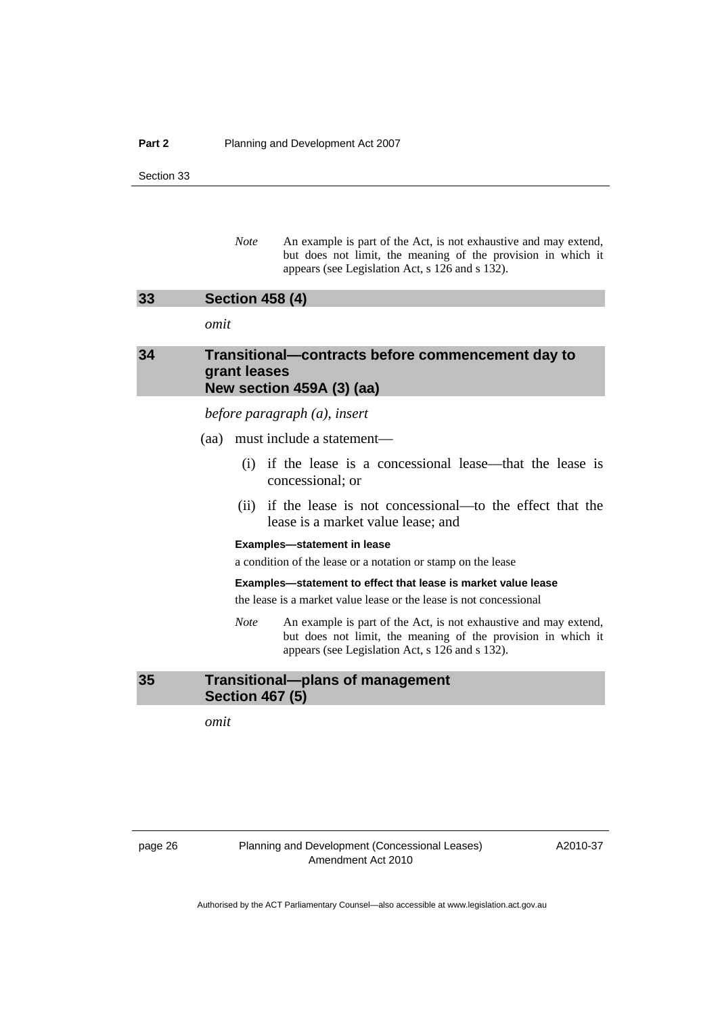#### <span id="page-29-0"></span>**Part 2** Planning and Development Act 2007

Section 33

*Note* An example is part of the Act, is not exhaustive and may extend, but does not limit, the meaning of the provision in which it appears (see Legislation Act, s 126 and s 132).

## **33 Section 458 (4)**

*omit* 

## **34 Transitional—contracts before commencement day to grant leases New section 459A (3) (aa)**

*before paragraph (a), insert* 

(aa) must include a statement—

- (i) if the lease is a concessional lease—that the lease is concessional; or
- (ii) if the lease is not concessional—to the effect that the lease is a market value lease; and

#### **Examples—statement in lease**

a condition of the lease or a notation or stamp on the lease

#### **Examples—statement to effect that lease is market value lease**

the lease is a market value lease or the lease is not concessional

*Note* An example is part of the Act, is not exhaustive and may extend, but does not limit, the meaning of the provision in which it appears (see Legislation Act, s 126 and s 132).

# **35 Transitional—plans of management Section 467 (5)**

*omit* 

page 26 Planning and Development (Concessional Leases) Amendment Act 2010

A2010-37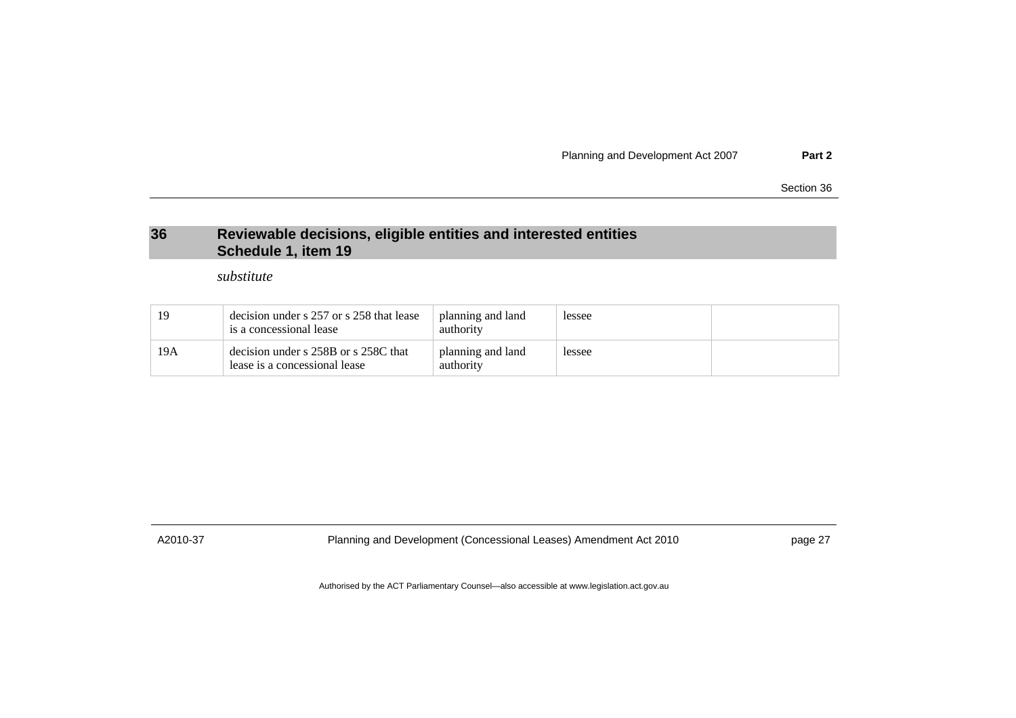Planning and Development Act 2007 **Part 2**

Section 36

# **36 Reviewable decisions, eligible entities and interested entities Schedule 1, item 19**

*substitute* 

| 19  | decision under s 257 or s 258 that lease<br>is a concessional lease   | planning and land<br>authority | lessee |  |
|-----|-----------------------------------------------------------------------|--------------------------------|--------|--|
| 19A | decision under s 258B or s 258C that<br>lease is a concessional lease | planning and land<br>authority | lessee |  |

<span id="page-30-0"></span>

A2010-37 Planning and Development (Concessional Leases) Amendment Act 2010 page 27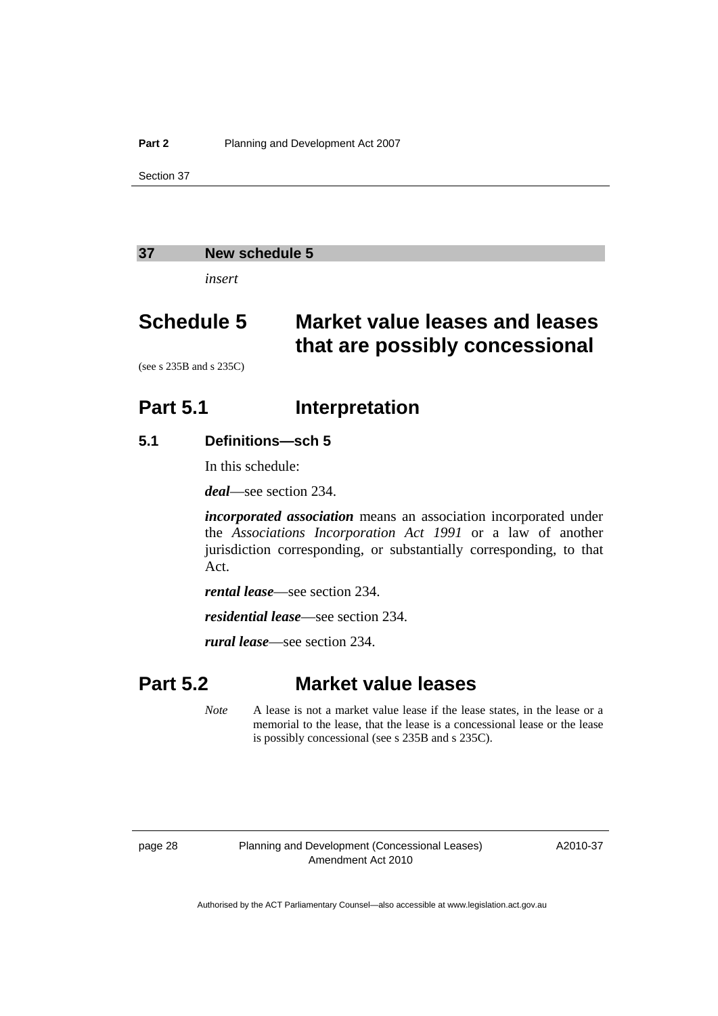#### <span id="page-31-0"></span>**37 New schedule 5**

*insert* 

# **Schedule 5 Market value leases and leases that are possibly concessional**

(see s 235B and s 235C)

# **Part 5.1** Interpretation

### **5.1 Definitions—sch 5**

In this schedule:

*deal*—see section 234.

*incorporated association* means an association incorporated under the *Associations Incorporation Act 1991* or a law of another jurisdiction corresponding, or substantially corresponding, to that Act.

*rental lease*—see section 234.

*residential lease*—see section 234.

*rural lease*—see section 234.

# **Part 5.2 Market value leases**

*Note* A lease is not a market value lease if the lease states, in the lease or a memorial to the lease, that the lease is a concessional lease or the lease is possibly concessional (see s 235B and s 235C).

page 28 Planning and Development (Concessional Leases) Amendment Act 2010

A2010-37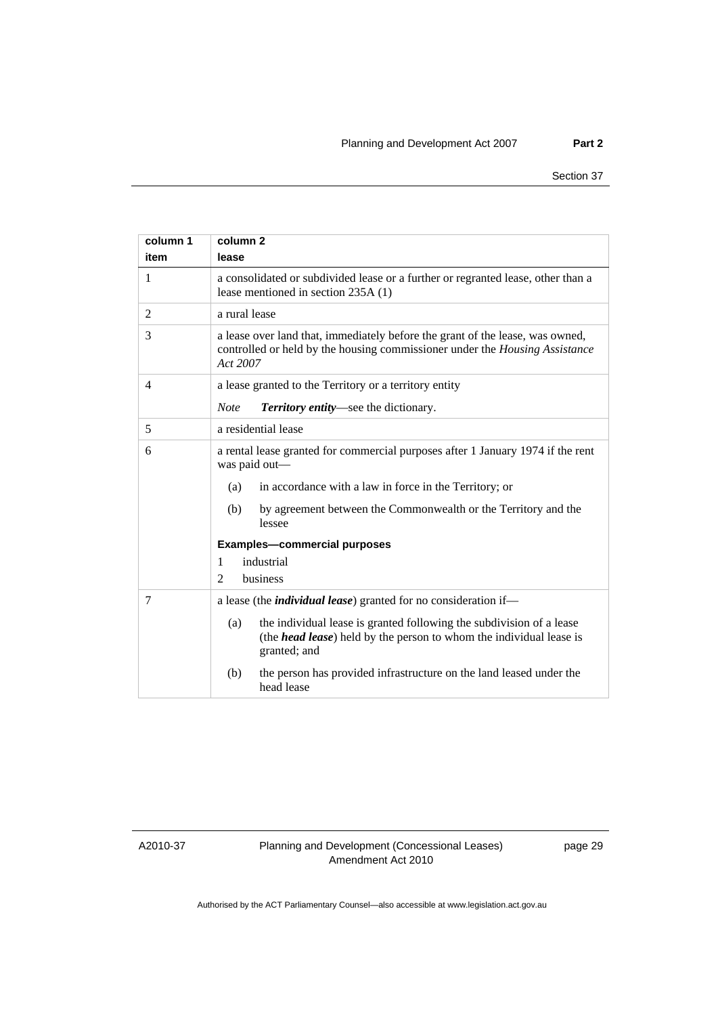| column 1<br>item | column <sub>2</sub><br>lease                                                                                                                                               |  |
|------------------|----------------------------------------------------------------------------------------------------------------------------------------------------------------------------|--|
| 1                | a consolidated or subdivided lease or a further or regranted lease, other than a<br>lease mentioned in section 235A (1)                                                    |  |
| 2                | a rural lease                                                                                                                                                              |  |
| 3                | a lease over land that, immediately before the grant of the lease, was owned,<br>controlled or held by the housing commissioner under the Housing Assistance<br>Act 2007   |  |
| $\overline{4}$   | a lease granted to the Territory or a territory entity                                                                                                                     |  |
|                  | Territory entity-see the dictionary.<br><b>Note</b>                                                                                                                        |  |
| 5                | a residential lease                                                                                                                                                        |  |
| 6                | a rental lease granted for commercial purposes after 1 January 1974 if the rent<br>was paid out-                                                                           |  |
|                  | (a)<br>in accordance with a law in force in the Territory; or                                                                                                              |  |
|                  | by agreement between the Commonwealth or the Territory and the<br>(b)<br>lessee                                                                                            |  |
|                  | <b>Examples-commercial purposes</b>                                                                                                                                        |  |
|                  | industrial<br>1                                                                                                                                                            |  |
|                  | business<br>$\mathfrak{D}$                                                                                                                                                 |  |
| 7                | a lease (the <i>individual lease</i> ) granted for no consideration if-                                                                                                    |  |
|                  | the individual lease is granted following the subdivision of a lease<br>(a)<br>(the <i>head lease</i> ) held by the person to whom the individual lease is<br>granted; and |  |
|                  | (b)<br>the person has provided infrastructure on the land leased under the<br>head lease                                                                                   |  |

A2010-37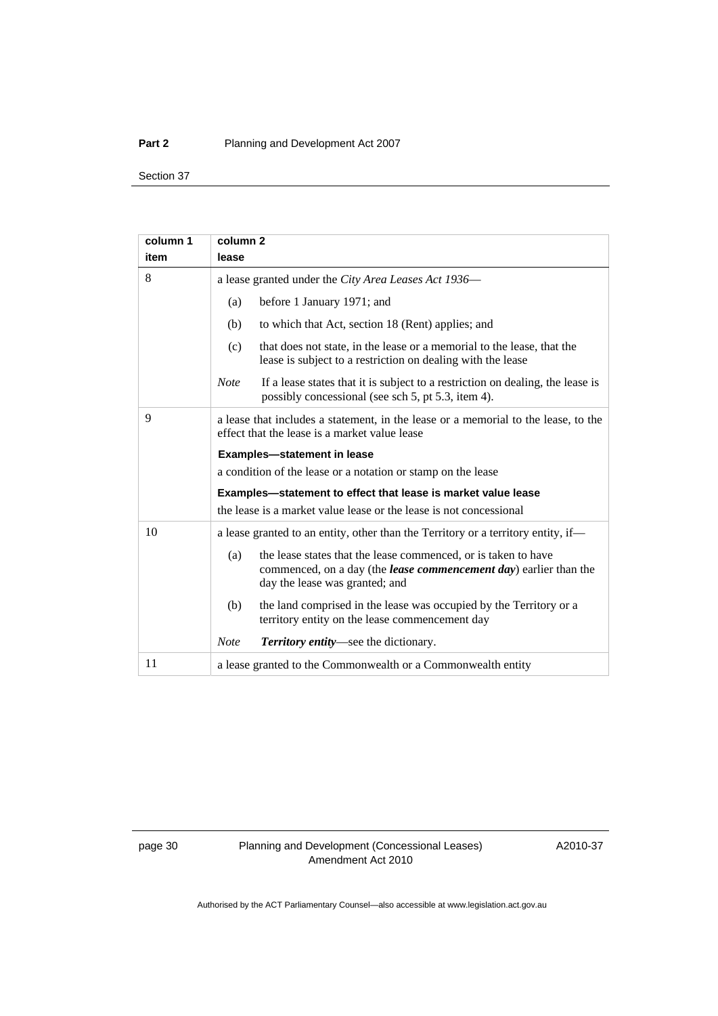#### **Part 2** Planning and Development Act 2007

Section 37

| column 1 | column <sub>2</sub>                                                                                                                                                          |  |  |  |  |  |
|----------|------------------------------------------------------------------------------------------------------------------------------------------------------------------------------|--|--|--|--|--|
| item     | lease                                                                                                                                                                        |  |  |  |  |  |
| 8        | a lease granted under the City Area Leases Act 1936-                                                                                                                         |  |  |  |  |  |
|          | before 1 January 1971; and<br>(a)                                                                                                                                            |  |  |  |  |  |
|          | to which that Act, section 18 (Rent) applies; and<br>(b)                                                                                                                     |  |  |  |  |  |
|          | that does not state, in the lease or a memorial to the lease, that the<br>(c)<br>lease is subject to a restriction on dealing with the lease                                 |  |  |  |  |  |
|          | If a lease states that it is subject to a restriction on dealing, the lease is<br><b>Note</b><br>possibly concessional (see sch 5, pt 5.3, item 4).                          |  |  |  |  |  |
| 9        | a lease that includes a statement, in the lease or a memorial to the lease, to the<br>effect that the lease is a market value lease                                          |  |  |  |  |  |
|          | <b>Examples-statement in lease</b>                                                                                                                                           |  |  |  |  |  |
|          | a condition of the lease or a notation or stamp on the lease                                                                                                                 |  |  |  |  |  |
|          | Examples-statement to effect that lease is market value lease                                                                                                                |  |  |  |  |  |
|          | the lease is a market value lease or the lease is not concessional                                                                                                           |  |  |  |  |  |
| 10       | a lease granted to an entity, other than the Territory or a territory entity, if-                                                                                            |  |  |  |  |  |
|          | the lease states that the lease commenced, or is taken to have<br>(a)<br>commenced, on a day (the lease commencement day) earlier than the<br>day the lease was granted; and |  |  |  |  |  |
|          | the land comprised in the lease was occupied by the Territory or a<br>(b)<br>territory entity on the lease commencement day                                                  |  |  |  |  |  |
|          | <b>Note</b><br>Territory entity—see the dictionary.                                                                                                                          |  |  |  |  |  |
| 11       | a lease granted to the Commonwealth or a Commonwealth entity                                                                                                                 |  |  |  |  |  |

page 30 Planning and Development (Concessional Leases) Amendment Act 2010

A2010-37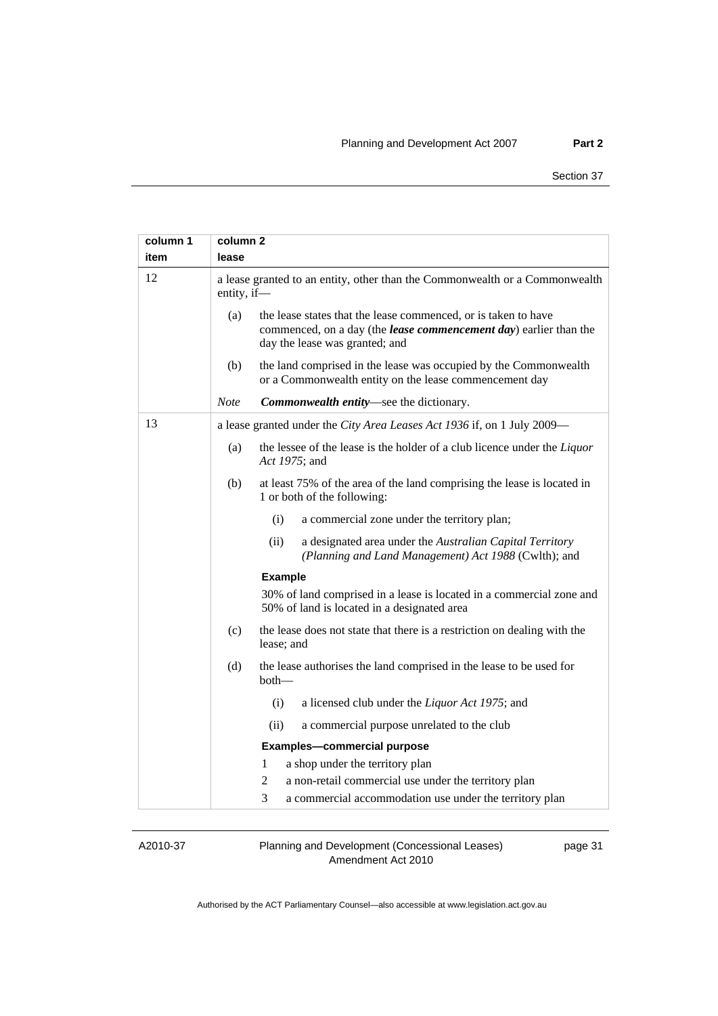| column 1<br>item | column 2<br>lease                                                                                                                                                            |
|------------------|------------------------------------------------------------------------------------------------------------------------------------------------------------------------------|
| 12               | a lease granted to an entity, other than the Commonwealth or a Commonwealth<br>entity, if-                                                                                   |
|                  | the lease states that the lease commenced, or is taken to have<br>(a)<br>commenced, on a day (the lease commencement day) earlier than the<br>day the lease was granted; and |
|                  | the land comprised in the lease was occupied by the Commonwealth<br>(b)<br>or a Commonwealth entity on the lease commencement day                                            |
|                  | <b>Note</b><br>Commonwealth entity-see the dictionary.                                                                                                                       |
| 13               | a lease granted under the City Area Leases Act 1936 if, on 1 July 2009-                                                                                                      |
|                  | the lessee of the lease is the holder of a club licence under the Liquor<br>(a)<br>Act 1975; and                                                                             |
|                  | (b)<br>at least 75% of the area of the land comprising the lease is located in<br>1 or both of the following:                                                                |
|                  | (i)<br>a commercial zone under the territory plan;                                                                                                                           |
|                  | (ii)<br>a designated area under the Australian Capital Territory<br>(Planning and Land Management) Act 1988 (Cwlth); and                                                     |
|                  | <b>Example</b>                                                                                                                                                               |
|                  | 30% of land comprised in a lease is located in a commercial zone and<br>50% of land is located in a designated area                                                          |
|                  | (c)<br>the lease does not state that there is a restriction on dealing with the<br>lease; and                                                                                |
|                  | (d)<br>the lease authorises the land comprised in the lease to be used for<br>$both$ —                                                                                       |
|                  | (i)<br>a licensed club under the Liquor Act 1975; and                                                                                                                        |
|                  | (ii)<br>a commercial purpose unrelated to the club                                                                                                                           |
|                  | <b>Examples-commercial purpose</b>                                                                                                                                           |
|                  | $\mathbf{1}$<br>a shop under the territory plan                                                                                                                              |
|                  | $\overline{2}$<br>a non-retail commercial use under the territory plan                                                                                                       |
|                  | 3<br>a commercial accommodation use under the territory plan                                                                                                                 |

A2010-37

Planning and Development (Concessional Leases) Amendment Act 2010

page 31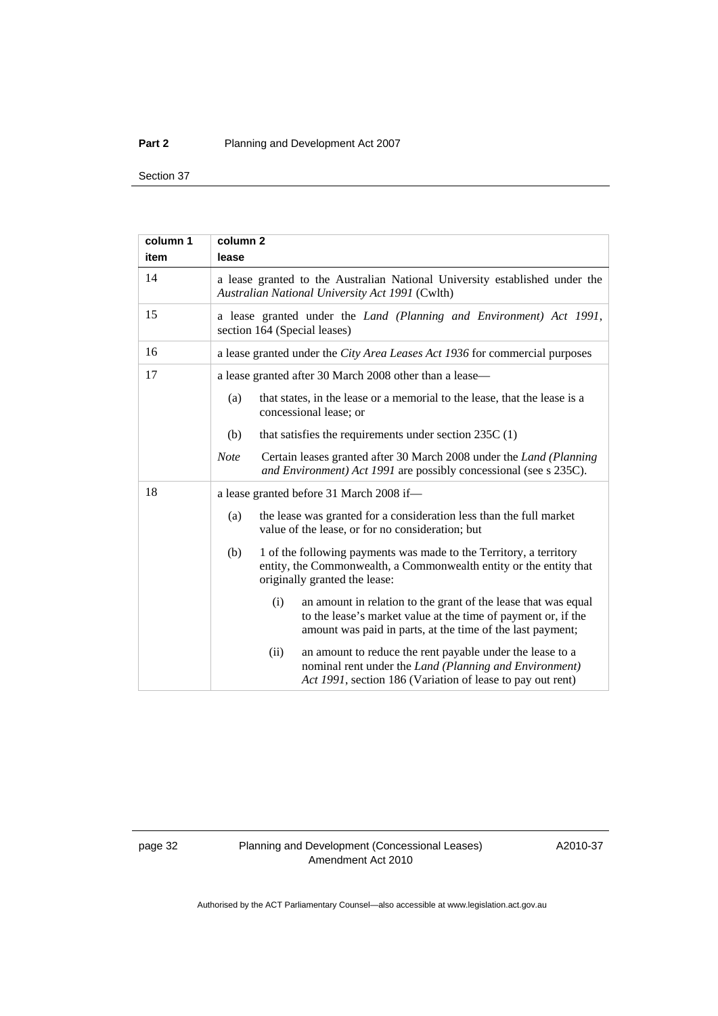#### **Part 2** Planning and Development Act 2007

Section 37

| column 1 | column <sub>2</sub>                                                                                                                                                                                  |  |  |  |  |
|----------|------------------------------------------------------------------------------------------------------------------------------------------------------------------------------------------------------|--|--|--|--|
| item     | lease                                                                                                                                                                                                |  |  |  |  |
| 14       | a lease granted to the Australian National University established under the<br>Australian National University Act 1991 (Cwlth)                                                                       |  |  |  |  |
| 15       | a lease granted under the Land (Planning and Environment) Act 1991,<br>section 164 (Special leases)                                                                                                  |  |  |  |  |
| 16       | a lease granted under the City Area Leases Act 1936 for commercial purposes                                                                                                                          |  |  |  |  |
| 17       | a lease granted after 30 March 2008 other than a lease—                                                                                                                                              |  |  |  |  |
|          | (a)<br>that states, in the lease or a memorial to the lease, that the lease is a<br>concessional lease; or                                                                                           |  |  |  |  |
|          | (b)<br>that satisfies the requirements under section $235C(1)$                                                                                                                                       |  |  |  |  |
|          | Certain leases granted after 30 March 2008 under the <i>Land (Planning</i> )<br><b>Note</b><br>and Environment) Act 1991 are possibly concessional (see s 235C).                                     |  |  |  |  |
| 18       | a lease granted before 31 March 2008 if-                                                                                                                                                             |  |  |  |  |
|          | the lease was granted for a consideration less than the full market<br>(a)<br>value of the lease, or for no consideration; but                                                                       |  |  |  |  |
|          | (b)<br>1 of the following payments was made to the Territory, a territory<br>entity, the Commonwealth, a Commonwealth entity or the entity that<br>originally granted the lease:                     |  |  |  |  |
|          | an amount in relation to the grant of the lease that was equal<br>(i)<br>to the lease's market value at the time of payment or, if the<br>amount was paid in parts, at the time of the last payment; |  |  |  |  |
|          | an amount to reduce the rent payable under the lease to a<br>(ii)<br>nominal rent under the Land (Planning and Environment)<br>Act 1991, section 186 (Variation of lease to pay out rent)            |  |  |  |  |

page 32 Planning and Development (Concessional Leases) Amendment Act 2010

A2010-37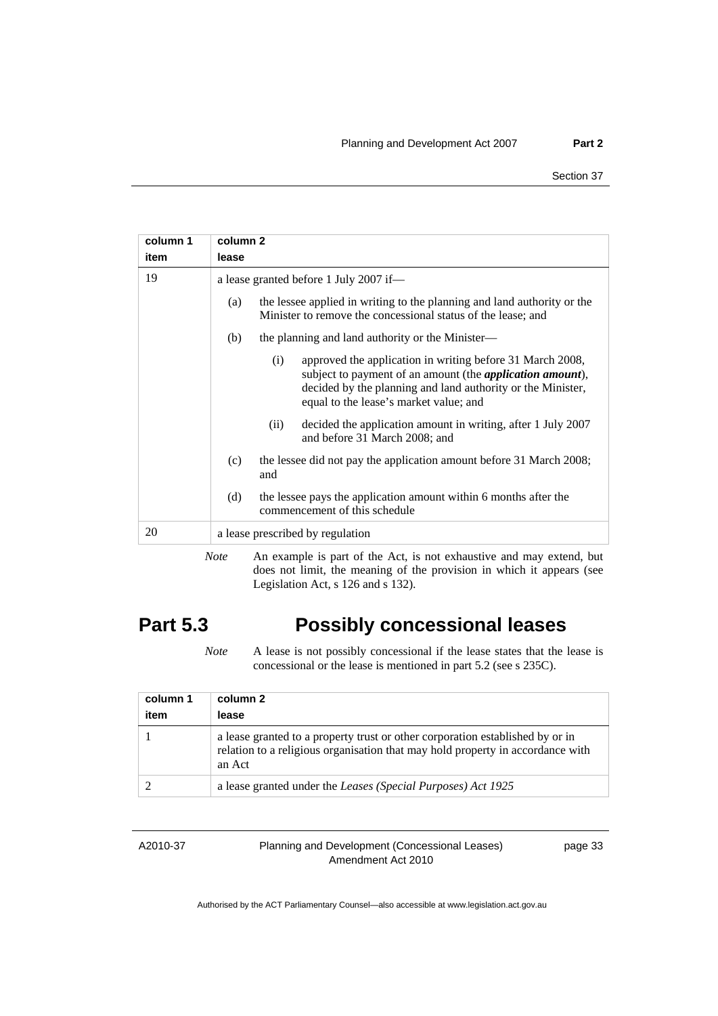| column 1                                                                                | column 2                                                                                                                                                                                                                                       |  |
|-----------------------------------------------------------------------------------------|------------------------------------------------------------------------------------------------------------------------------------------------------------------------------------------------------------------------------------------------|--|
| item                                                                                    | lease                                                                                                                                                                                                                                          |  |
| 19                                                                                      | a lease granted before 1 July 2007 if-                                                                                                                                                                                                         |  |
|                                                                                         | the lessee applied in writing to the planning and land authority or the<br>(a)<br>Minister to remove the concessional status of the lease; and                                                                                                 |  |
|                                                                                         | the planning and land authority or the Minister—<br>(b)                                                                                                                                                                                        |  |
|                                                                                         | approved the application in writing before 31 March 2008,<br>(i)<br>subject to payment of an amount (the <i>application amount</i> ),<br>decided by the planning and land authority or the Minister,<br>equal to the lease's market value; and |  |
|                                                                                         | decided the application amount in writing, after 1 July 2007<br>(ii)<br>and before 31 March 2008; and                                                                                                                                          |  |
|                                                                                         | the lessee did not pay the application amount before 31 March 2008;<br>(c)<br>and                                                                                                                                                              |  |
|                                                                                         | the lessee pays the application amount within 6 months after the<br>(d)<br>commencement of this schedule                                                                                                                                       |  |
| 20                                                                                      | a lease prescribed by regulation                                                                                                                                                                                                               |  |
| $M_{\rm{max}}$ . An account is non-of-the Ast is not enhancement and more entered level |                                                                                                                                                                                                                                                |  |

*Note* An example is part of the Act, is not exhaustive and may extend, but does not limit, the meaning of the provision in which it appears (see Legislation Act, s 126 and s 132).

# **Part 5.3 Possibly concessional leases**

*Note* A lease is not possibly concessional if the lease states that the lease is concessional or the lease is mentioned in part 5.2 (see s 235C).

| column 1<br>item | column 2<br>lease                                                                                                                                                         |
|------------------|---------------------------------------------------------------------------------------------------------------------------------------------------------------------------|
|                  | a lease granted to a property trust or other corporation established by or in<br>relation to a religious organisation that may hold property in accordance with<br>an Act |
|                  | a lease granted under the Leases (Special Purposes) Act 1925                                                                                                              |

A2010-37

Planning and Development (Concessional Leases) Amendment Act 2010

page 33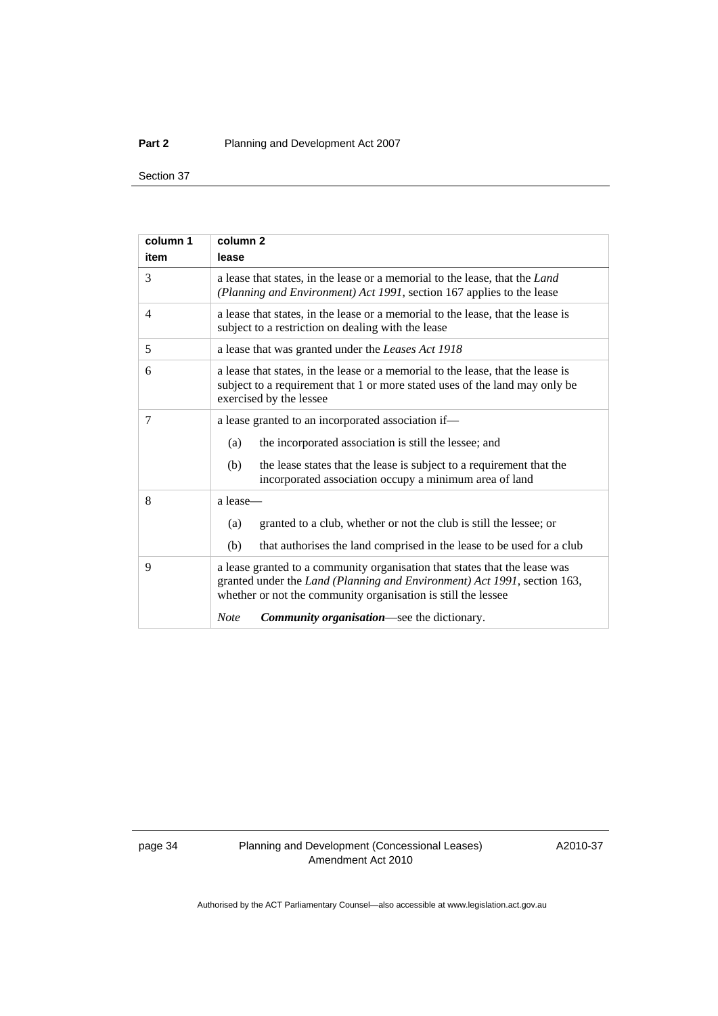#### **Part 2** Planning and Development Act 2007

Section 37

| column 1       | column <sub>2</sub>                                                                                                                                                                                                     |  |  |  |  |
|----------------|-------------------------------------------------------------------------------------------------------------------------------------------------------------------------------------------------------------------------|--|--|--|--|
| item           | lease                                                                                                                                                                                                                   |  |  |  |  |
| 3              | a lease that states, in the lease or a memorial to the lease, that the <i>Land</i><br>(Planning and Environment) Act 1991, section 167 applies to the lease                                                             |  |  |  |  |
| $\overline{4}$ | a lease that states, in the lease or a memorial to the lease, that the lease is<br>subject to a restriction on dealing with the lease                                                                                   |  |  |  |  |
| 5              | a lease that was granted under the Leases Act 1918                                                                                                                                                                      |  |  |  |  |
| 6              | a lease that states, in the lease or a memorial to the lease, that the lease is<br>subject to a requirement that 1 or more stated uses of the land may only be<br>exercised by the lessee                               |  |  |  |  |
| 7              | a lease granted to an incorporated association if-                                                                                                                                                                      |  |  |  |  |
|                | the incorporated association is still the lessee; and<br>(a)                                                                                                                                                            |  |  |  |  |
|                | the lease states that the lease is subject to a requirement that the<br>(b)<br>incorporated association occupy a minimum area of land                                                                                   |  |  |  |  |
| 8              | a lease-                                                                                                                                                                                                                |  |  |  |  |
|                | granted to a club, whether or not the club is still the lessee; or<br>(a)                                                                                                                                               |  |  |  |  |
|                | that authorises the land comprised in the lease to be used for a club<br>(b)                                                                                                                                            |  |  |  |  |
| 9              | a lease granted to a community organisation that states that the lease was<br>granted under the Land (Planning and Environment) Act 1991, section 163,<br>whether or not the community organisation is still the lessee |  |  |  |  |
|                | <b>Community organisation—see the dictionary.</b><br><b>Note</b>                                                                                                                                                        |  |  |  |  |

page 34 Planning and Development (Concessional Leases) Amendment Act 2010

A2010-37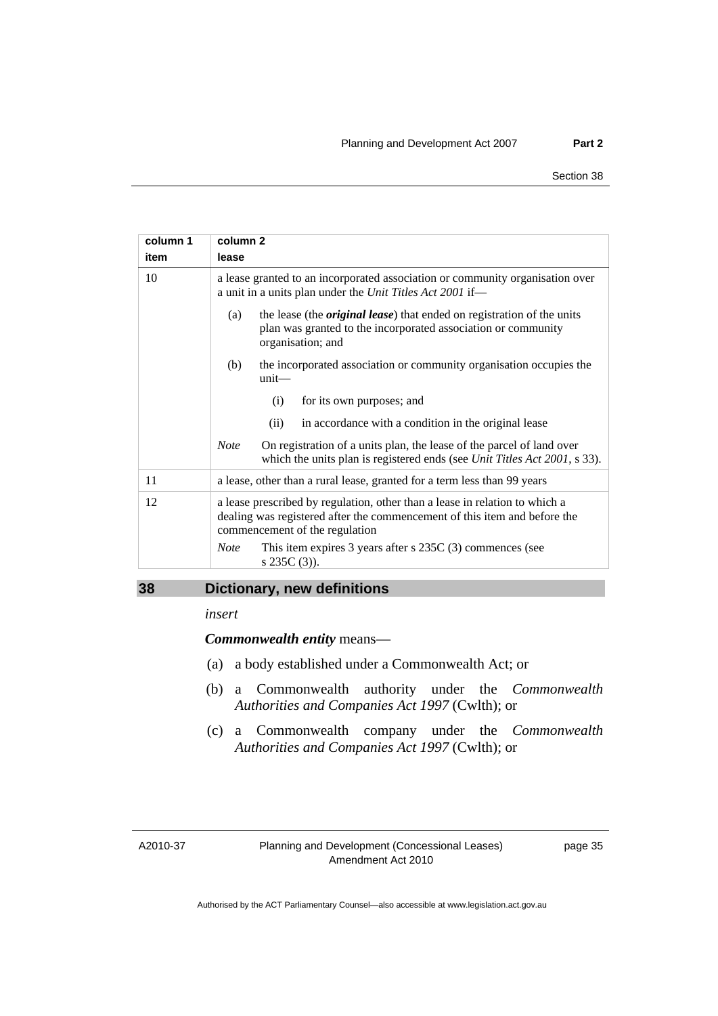<span id="page-38-0"></span>

| column 1 | column <sub>2</sub>                                                                                                                                                                        |  |  |  |  |  |
|----------|--------------------------------------------------------------------------------------------------------------------------------------------------------------------------------------------|--|--|--|--|--|
| item     | lease                                                                                                                                                                                      |  |  |  |  |  |
| 10       | a lease granted to an incorporated association or community organisation over<br>a unit in a units plan under the Unit Titles Act 2001 if-                                                 |  |  |  |  |  |
|          | the lease (the <i>original lease</i> ) that ended on registration of the units<br>(a)<br>plan was granted to the incorporated association or community<br>organisation; and                |  |  |  |  |  |
|          | the incorporated association or community organisation occupies the<br>(b)<br>unit                                                                                                         |  |  |  |  |  |
|          | for its own purposes; and<br>(i)                                                                                                                                                           |  |  |  |  |  |
|          | in accordance with a condition in the original lease<br>(ii)                                                                                                                               |  |  |  |  |  |
|          | <b>Note</b><br>On registration of a units plan, the lease of the parcel of land over<br>which the units plan is registered ends (see Unit Titles Act 2001, s 33).                          |  |  |  |  |  |
| 11       | a lease, other than a rural lease, granted for a term less than 99 years                                                                                                                   |  |  |  |  |  |
| 12       | a lease prescribed by regulation, other than a lease in relation to which a<br>dealing was registered after the commencement of this item and before the<br>commencement of the regulation |  |  |  |  |  |
|          | This item expires 3 years after $s$ 235C (3) commences (see<br><b>Note</b><br>s $235C(3)$ ).                                                                                               |  |  |  |  |  |

# **38 Dictionary, new definitions**

*insert* 

*Commonwealth entity* means—

- (a) a body established under a Commonwealth Act; or
- (b) a Commonwealth authority under the *Commonwealth Authorities and Companies Act 1997* (Cwlth); or
- (c) a Commonwealth company under the *Commonwealth Authorities and Companies Act 1997* (Cwlth); or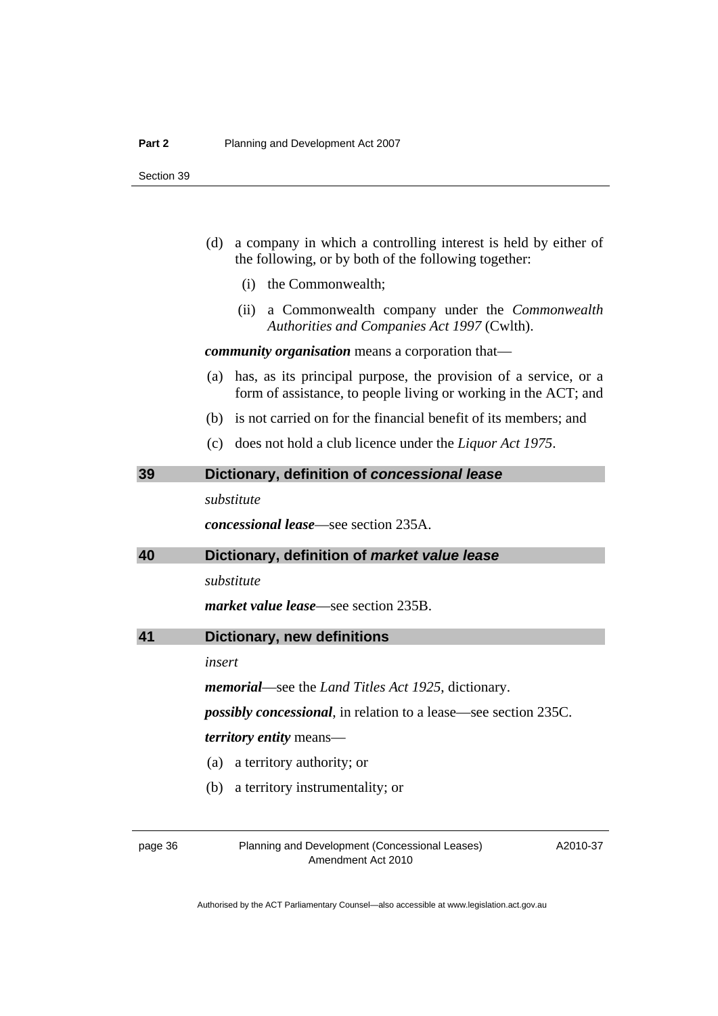- <span id="page-39-0"></span> (d) a company in which a controlling interest is held by either of the following, or by both of the following together:
	- (i) the Commonwealth;
	- (ii) a Commonwealth company under the *Commonwealth Authorities and Companies Act 1997* (Cwlth).

*community organisation* means a corporation that—

- (a) has, as its principal purpose, the provision of a service, or a form of assistance, to people living or working in the ACT; and
- (b) is not carried on for the financial benefit of its members; and
- (c) does not hold a club licence under the *Liquor Act 1975*.

## **39 Dictionary, definition of** *concessional lease*

*substitute* 

*concessional lease*—see section 235A.

### **40 Dictionary, definition of** *market value lease*

*substitute* 

*market value lease*—see section 235B.

```
41 Dictionary, new definitions
```
*insert* 

*memorial*—see the *Land Titles Act 1925*, dictionary.

*possibly concessional*, in relation to a lease—see section 235C.

*territory entity* means—

- (a) a territory authority; or
- (b) a territory instrumentality; or

page 36 Planning and Development (Concessional Leases) Amendment Act 2010

A2010-37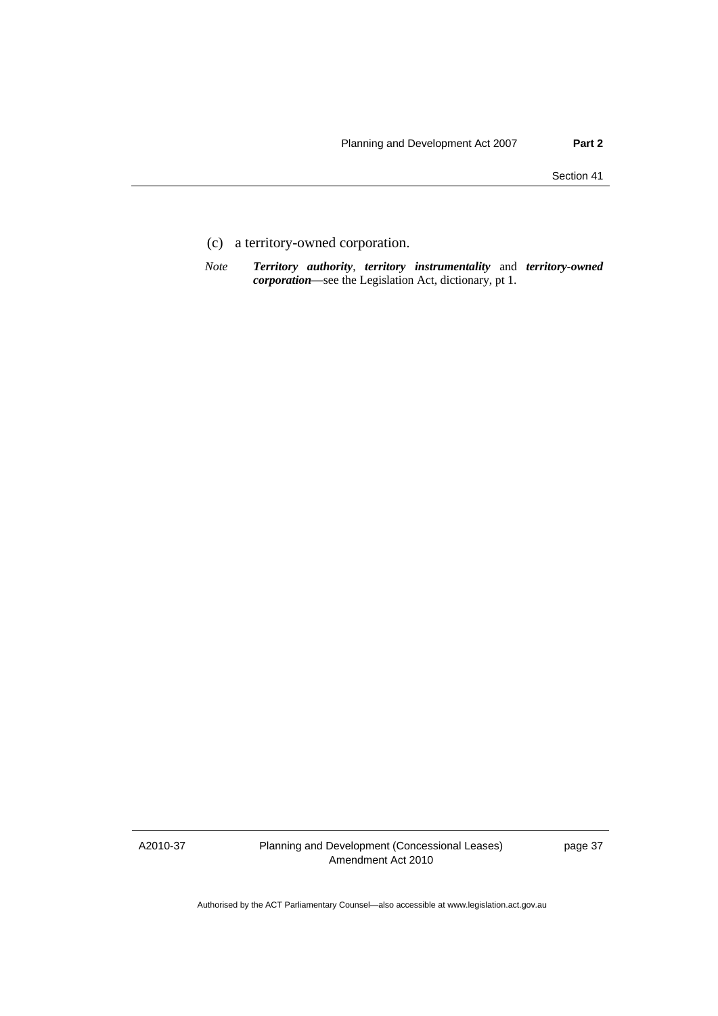- (c) a territory-owned corporation.
- *Note Territory authority*, *territory instrumentality* and *territory-owned corporation*—see the Legislation Act, dictionary, pt 1.

A2010-37

Planning and Development (Concessional Leases) Amendment Act 2010

page 37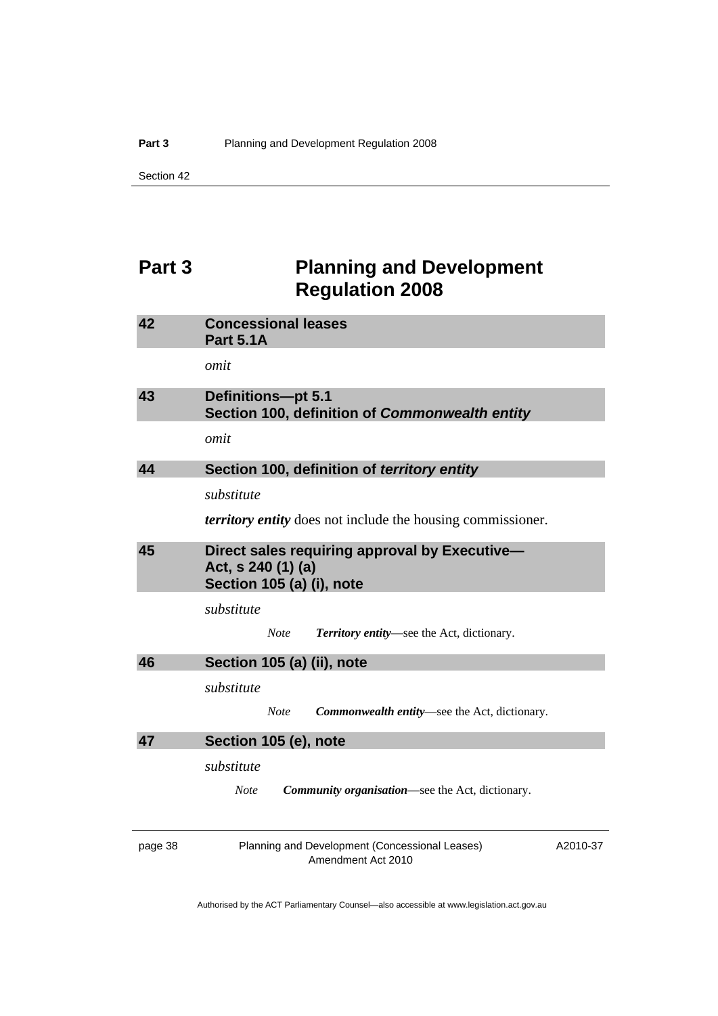# <span id="page-41-0"></span>**Part 3** Planning and Development **Regulation 2008**

| 42      | <b>Concessional leases</b><br><b>Part 5.1A</b>                                                   |          |
|---------|--------------------------------------------------------------------------------------------------|----------|
|         | omit                                                                                             |          |
| 43      | <b>Definitions-pt 5.1</b><br>Section 100, definition of Commonwealth entity                      |          |
|         | omit                                                                                             |          |
| 44      | Section 100, definition of territory entity                                                      |          |
|         | substitute                                                                                       |          |
|         | <i>territory entity</i> does not include the housing commissioner.                               |          |
| 45      | Direct sales requiring approval by Executive-<br>Act, s 240 (1) (a)<br>Section 105 (a) (i), note |          |
|         | substitute                                                                                       |          |
|         | Territory entity—see the Act, dictionary.<br><b>Note</b>                                         |          |
| 46      | Section 105 (a) (ii), note                                                                       |          |
|         | substitute                                                                                       |          |
|         | Commonwealth entity—see the Act, dictionary.<br><b>Note</b>                                      |          |
| 47      | Section 105 (e), note                                                                            |          |
|         | substitute                                                                                       |          |
|         | <b>Community organisation—see the Act, dictionary.</b><br><b>Note</b>                            |          |
| page 38 | Planning and Development (Concessional Leases)<br>Amendment Act 2010                             | A2010-37 |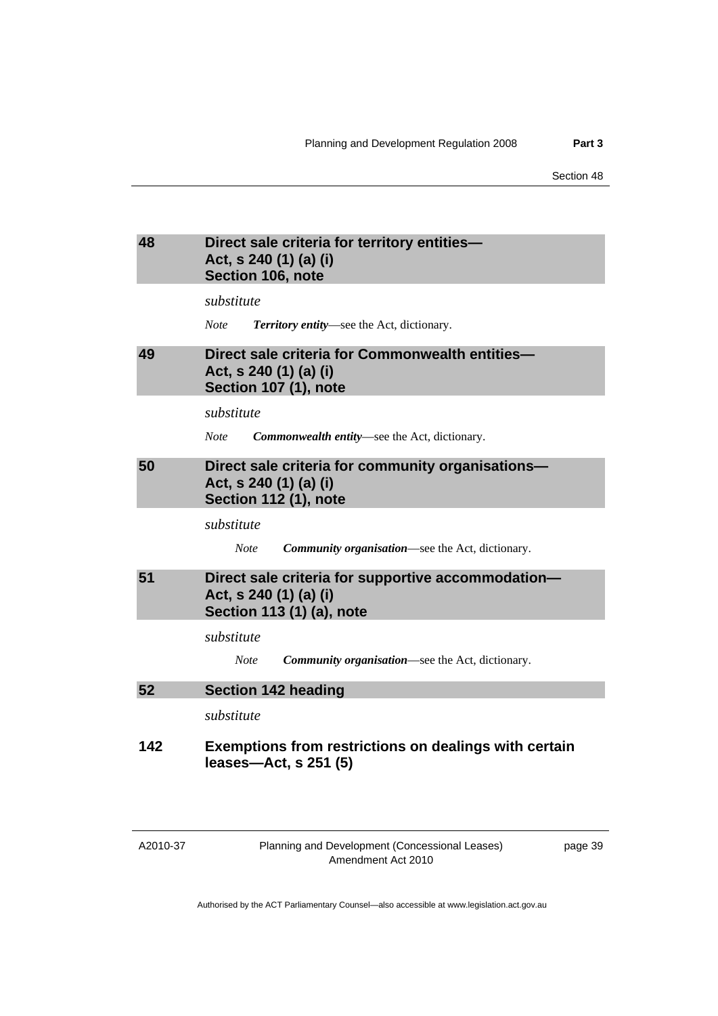### <span id="page-42-0"></span>**48 Direct sale criteria for territory entities— Act, s 240 (1) (a) (i) Section 106, note**

*substitute* 

*Note Territory entity*—see the Act, dictionary.

# **49 Direct sale criteria for Commonwealth entities— Act, s 240 (1) (a) (i) Section 107 (1), note**

*substitute* 

*Note Commonwealth entity*—see the Act, dictionary.

# **50 Direct sale criteria for community organisations— Act, s 240 (1) (a) (i) Section 112 (1), note**

*substitute* 

*Note Community organisation*—see the Act, dictionary.

# **51 Direct sale criteria for supportive accommodation— Act, s 240 (1) (a) (i) Section 113 (1) (a), note**

*substitute* 

*Note Community organisation*—see the Act, dictionary.

### **52 Section 142 heading**

*substitute* 

# **142 Exemptions from restrictions on dealings with certain leases—Act, s 251 (5)**

A2010-37

Planning and Development (Concessional Leases) Amendment Act 2010

page 39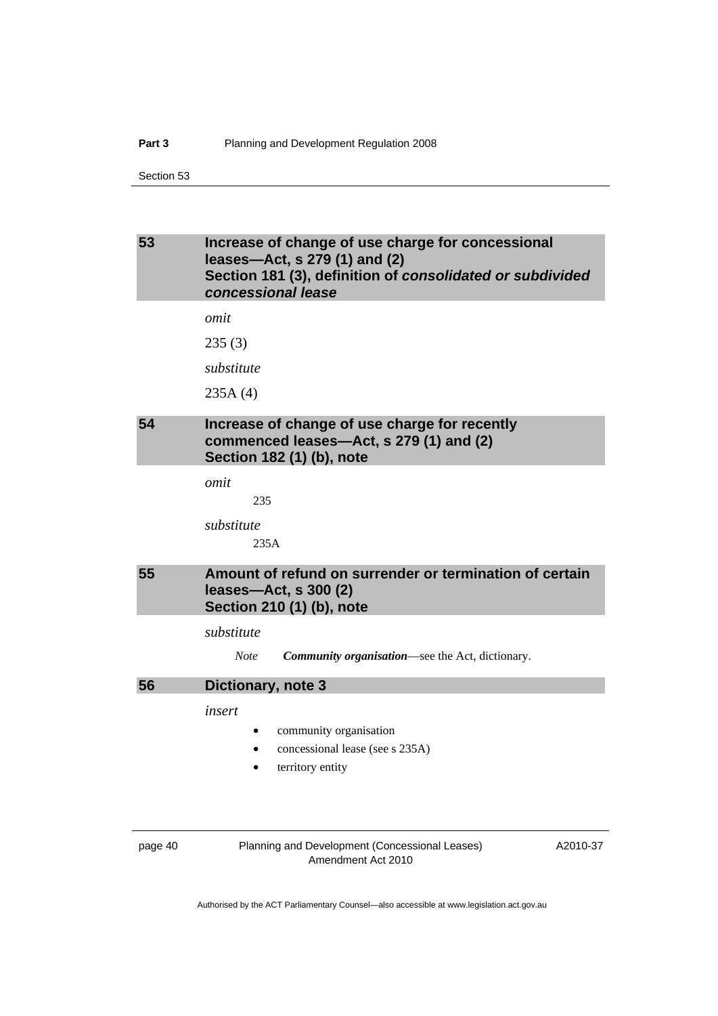# <span id="page-43-0"></span>**53 Increase of change of use charge for concessional leases—Act, s 279 (1) and (2) Section 181 (3), definition of** *consolidated or subdivided concessional lease*

*omit* 

235 (3)

*substitute* 

235A (4)

# **54 Increase of change of use charge for recently commenced leases—Act, s 279 (1) and (2) Section 182 (1) (b), note**

*omit* 

*substitute* 

235A

235

# **55 Amount of refund on surrender or termination of certain leases—Act, s 300 (2) Section 210 (1) (b), note**

*substitute* 

### **56 Dictionary, note 3**

*insert* 

- community organisation
- concessional lease (see s 235A)
- territory entity

page 40 Planning and Development (Concessional Leases) Amendment Act 2010

A2010-37

*Note Community organisation*—see the Act, dictionary.